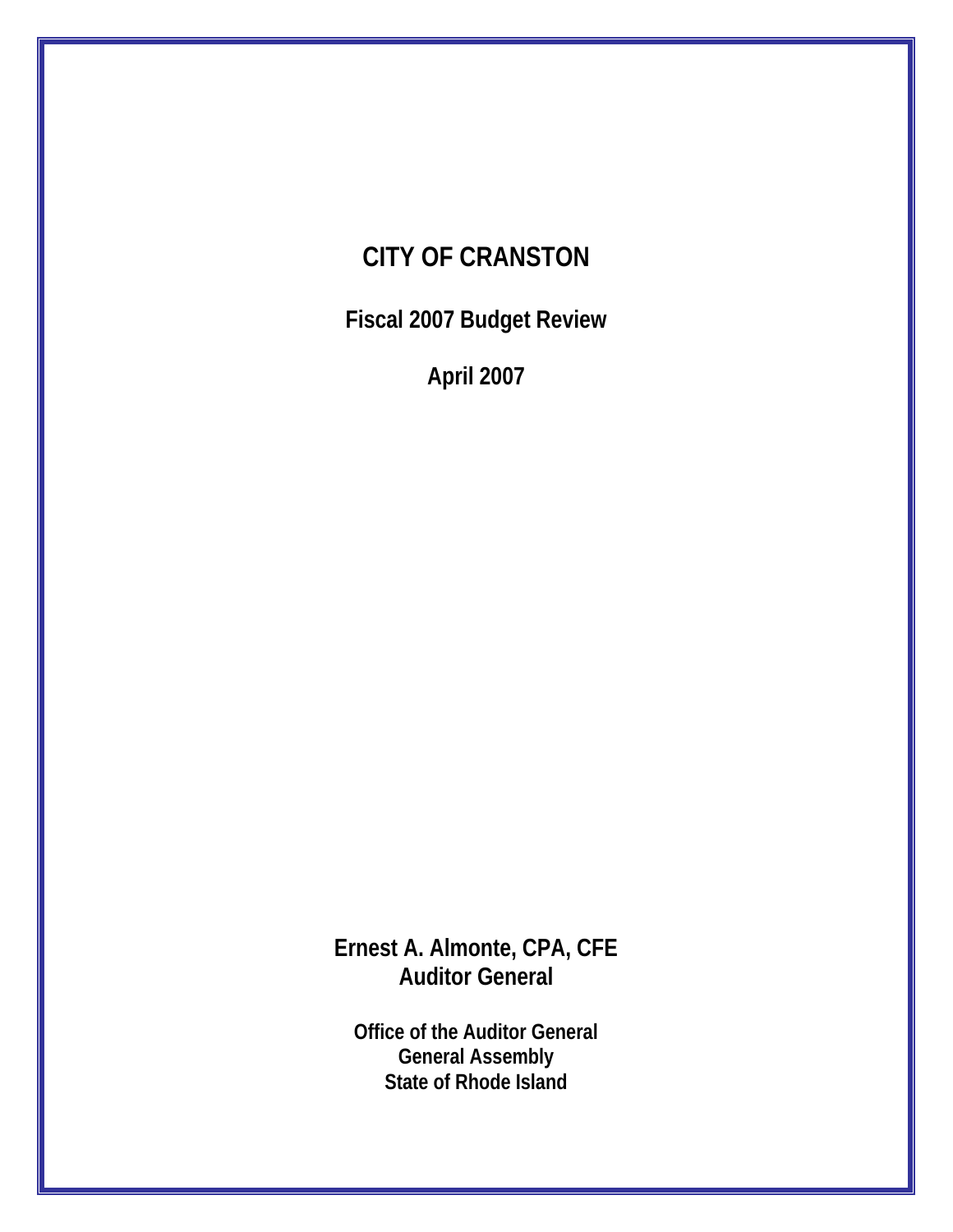## **CITY OF CRANSTON**

**Fiscal 2007 Budget Review** 

**April 2007** 

**Ernest A. Almonte, CPA, CFE Auditor General** 

**Office of the Auditor General General Assembly State of Rhode Island**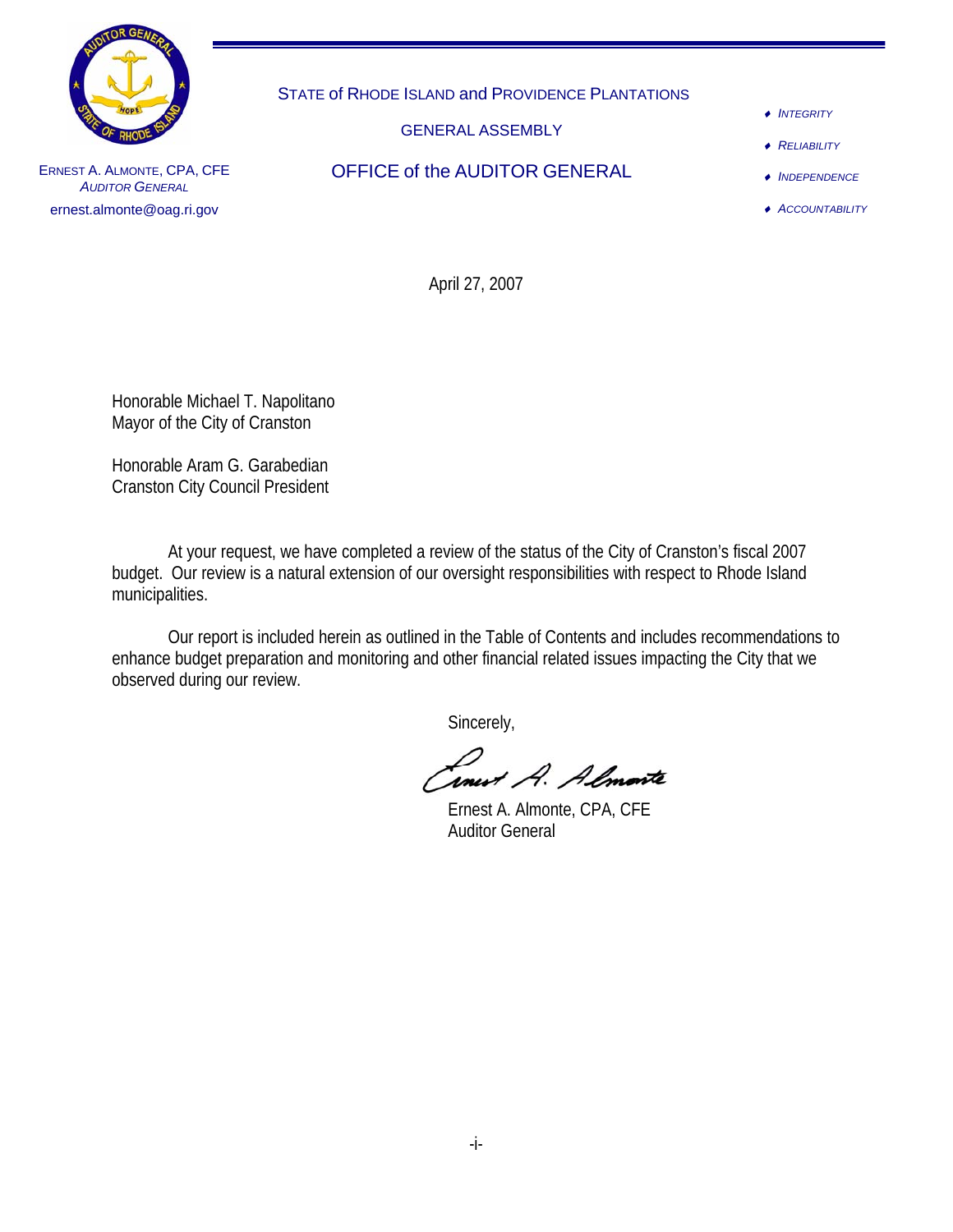

STATE of RHODE ISLAND and PROVIDENCE PLANTATIONS

GENERAL ASSEMBLY

OFFICE of the AUDITOR GENERAL

- ♦ *INTEGRITY*
- ♦ *RELIABILITY*

♦ *INDEPENDENCE*

♦ *ACCOUNTABILITY*

ERNEST A. ALMONTE, CPA, CFE *AUDITOR GENERAL* ernest.almonte@oag.ri.gov

April 27, 2007

Honorable Michael T. Napolitano Mayor of the City of Cranston

Honorable Aram G. Garabedian Cranston City Council President

 At your request, we have completed a review of the status of the City of Cranston's fiscal 2007 budget. Our review is a natural extension of our oversight responsibilities with respect to Rhode Island municipalities.

 Our report is included herein as outlined in the Table of Contents and includes recommendations to enhance budget preparation and monitoring and other financial related issues impacting the City that we observed during our review.

Sincerely,

**Inest A. Almoste**<br>Ernest A. Almonte, CPA, CFE

Auditor General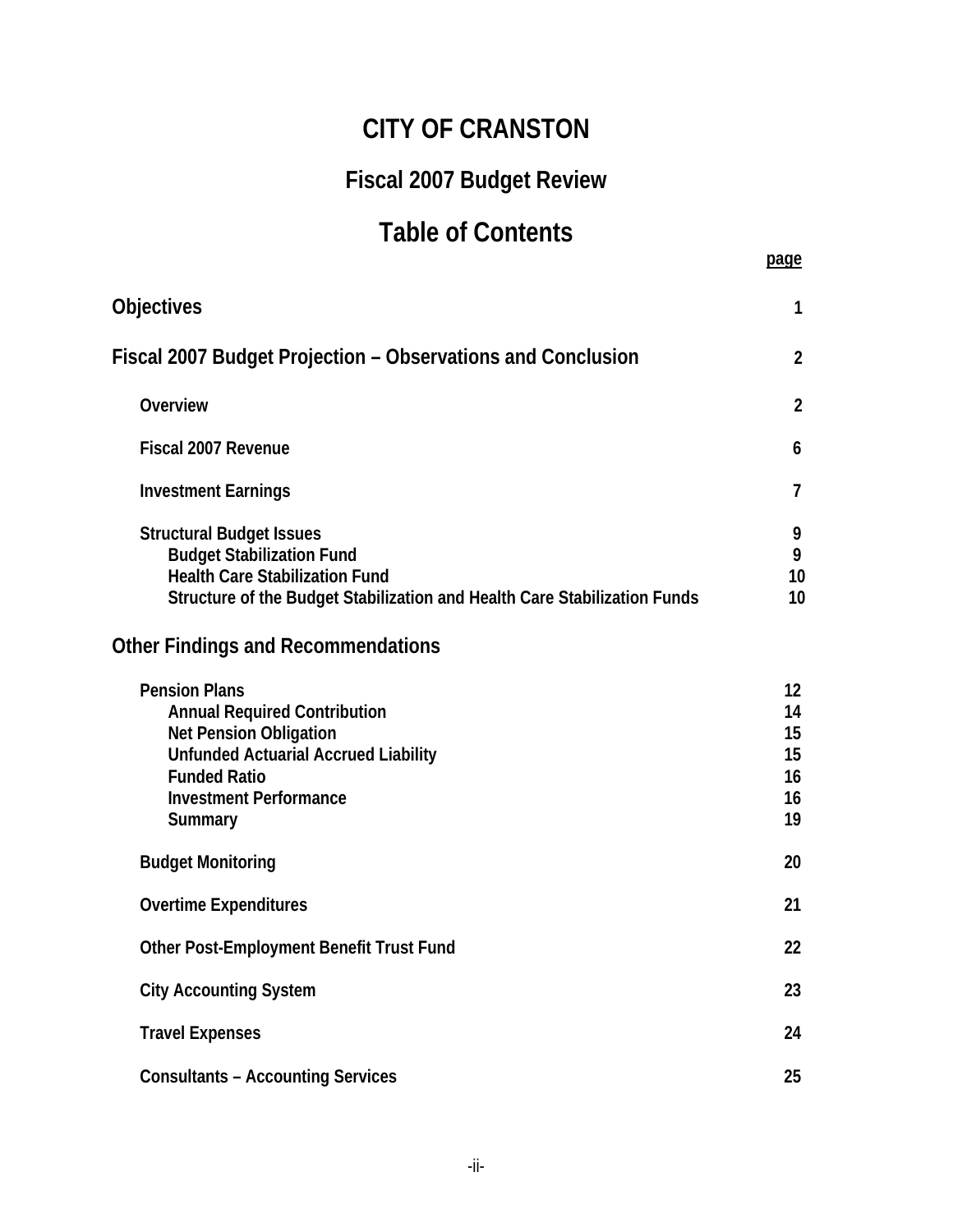## **CITY OF CRANSTON**

## **Fiscal 2007 Budget Review**

# Table of Contents **page**

| <b>Objectives</b>                                                                                                                                                                                              | 1                                                     |
|----------------------------------------------------------------------------------------------------------------------------------------------------------------------------------------------------------------|-------------------------------------------------------|
| Fiscal 2007 Budget Projection – Observations and Conclusion                                                                                                                                                    | $\overline{2}$                                        |
| Overview                                                                                                                                                                                                       | $\overline{2}$                                        |
| Fiscal 2007 Revenue                                                                                                                                                                                            | 6                                                     |
| <b>Investment Earnings</b>                                                                                                                                                                                     | $\overline{7}$                                        |
| <b>Structural Budget Issues</b><br><b>Budget Stabilization Fund</b><br><b>Health Care Stabilization Fund</b><br>Structure of the Budget Stabilization and Health Care Stabilization Funds                      | 9<br>9<br>10<br>10                                    |
| <b>Other Findings and Recommendations</b>                                                                                                                                                                      |                                                       |
| <b>Pension Plans</b><br><b>Annual Required Contribution</b><br><b>Net Pension Obligation</b><br><b>Unfunded Actuarial Accrued Liability</b><br><b>Funded Ratio</b><br><b>Investment Performance</b><br>Summary | $12 \overline{ }$<br>14<br>15<br>15<br>16<br>16<br>19 |
| <b>Budget Monitoring</b>                                                                                                                                                                                       | 20                                                    |
| <b>Overtime Expenditures</b>                                                                                                                                                                                   | 21                                                    |
| Other Post-Employment Benefit Trust Fund                                                                                                                                                                       | 22                                                    |
| <b>City Accounting System</b>                                                                                                                                                                                  | 23                                                    |
| <b>Travel Expenses</b>                                                                                                                                                                                         | 24                                                    |
| <b>Consultants - Accounting Services</b>                                                                                                                                                                       | 25                                                    |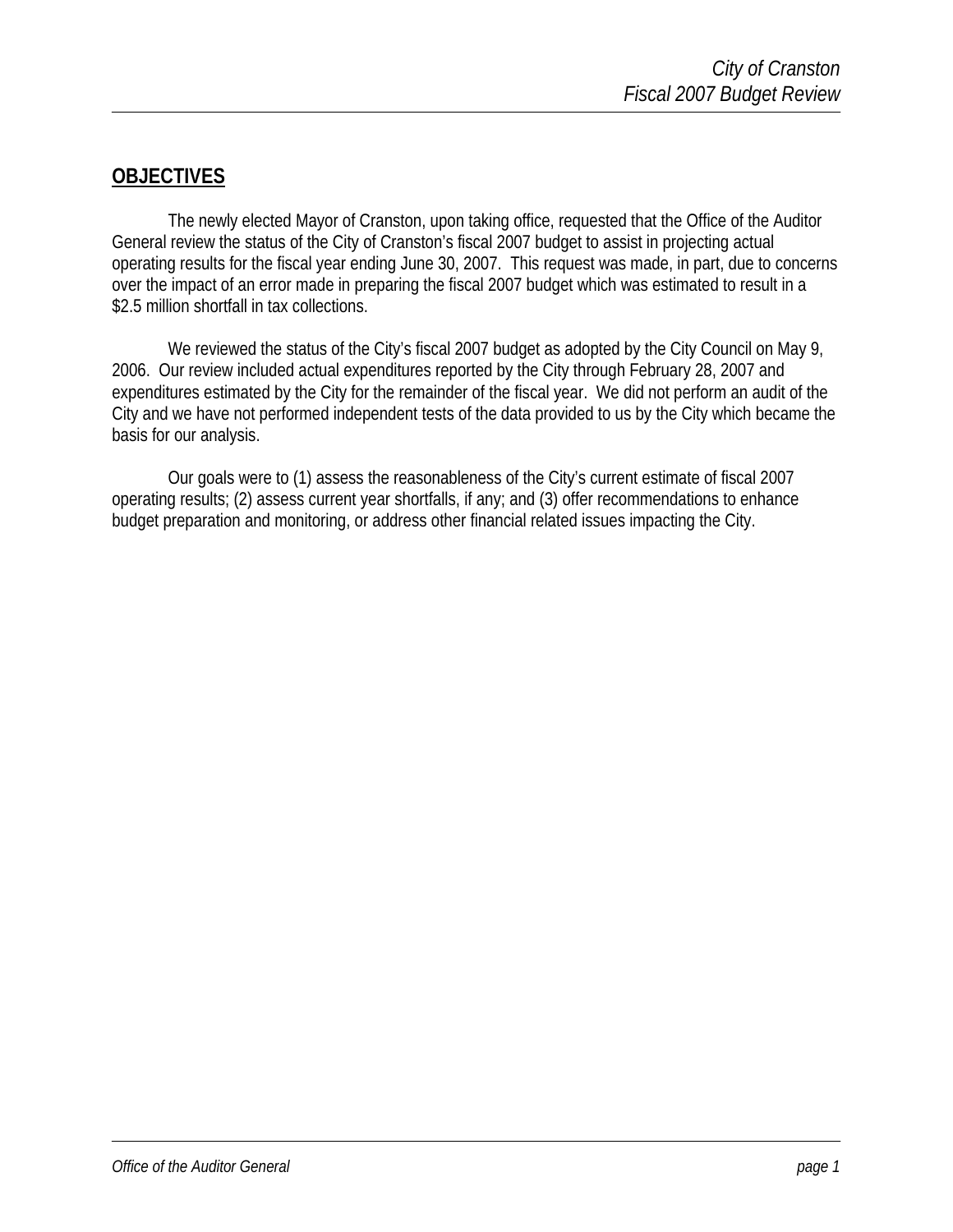#### **OBJECTIVES**

The newly elected Mayor of Cranston, upon taking office, requested that the Office of the Auditor General review the status of the City of Cranston's fiscal 2007 budget to assist in projecting actual operating results for the fiscal year ending June 30, 2007. This request was made, in part, due to concerns over the impact of an error made in preparing the fiscal 2007 budget which was estimated to result in a \$2.5 million shortfall in tax collections.

We reviewed the status of the City's fiscal 2007 budget as adopted by the City Council on May 9, 2006. Our review included actual expenditures reported by the City through February 28, 2007 and expenditures estimated by the City for the remainder of the fiscal year. We did not perform an audit of the City and we have not performed independent tests of the data provided to us by the City which became the basis for our analysis.

Our goals were to (1) assess the reasonableness of the City's current estimate of fiscal 2007 operating results; (2) assess current year shortfalls, if any; and (3) offer recommendations to enhance budget preparation and monitoring, or address other financial related issues impacting the City.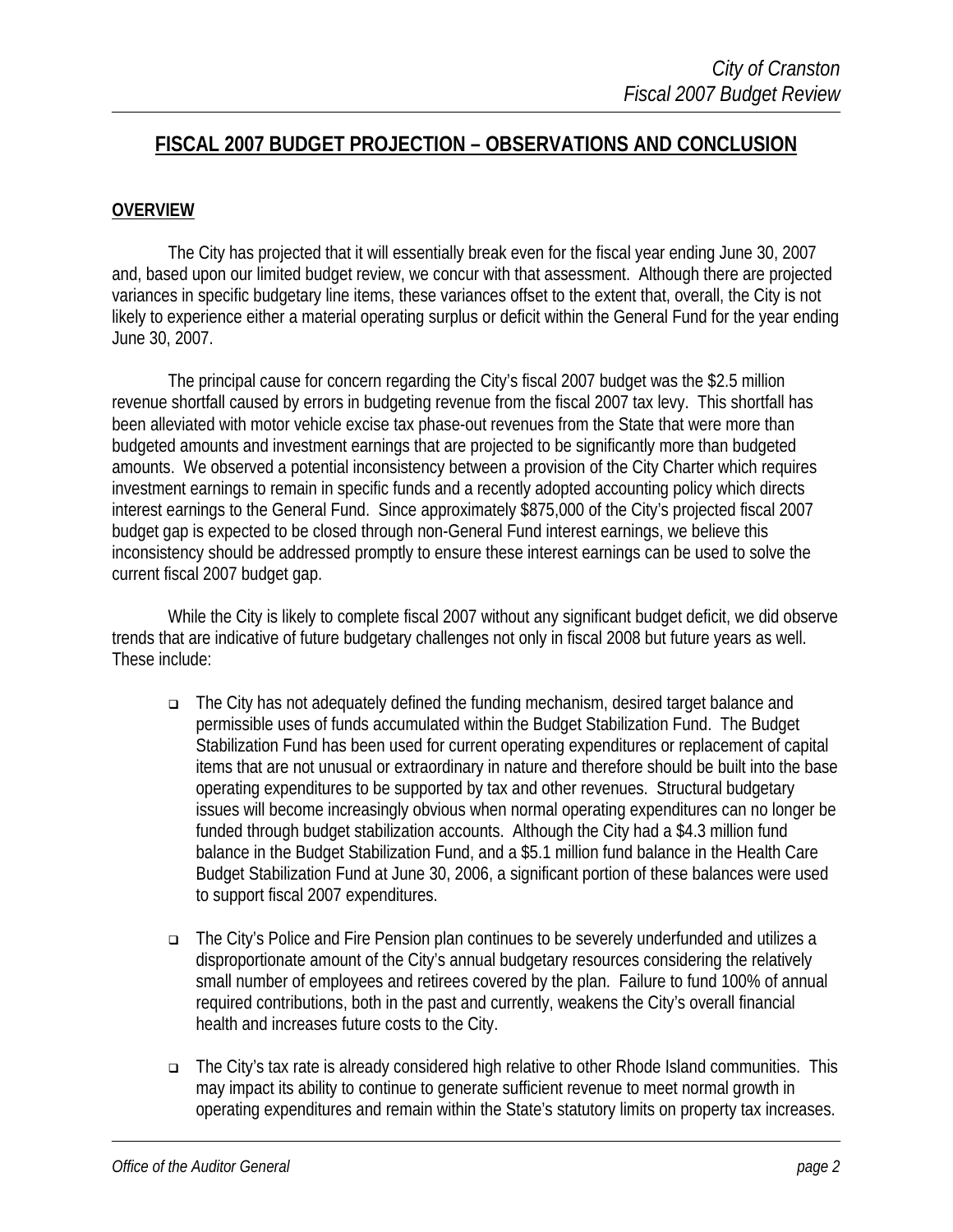#### **FISCAL 2007 BUDGET PROJECTION – OBSERVATIONS AND CONCLUSION**

#### **OVERVIEW**

The City has projected that it will essentially break even for the fiscal year ending June 30, 2007 and, based upon our limited budget review, we concur with that assessment. Although there are projected variances in specific budgetary line items, these variances offset to the extent that, overall, the City is not likely to experience either a material operating surplus or deficit within the General Fund for the year ending June 30, 2007.

The principal cause for concern regarding the City's fiscal 2007 budget was the \$2.5 million revenue shortfall caused by errors in budgeting revenue from the fiscal 2007 tax levy. This shortfall has been alleviated with motor vehicle excise tax phase-out revenues from the State that were more than budgeted amounts and investment earnings that are projected to be significantly more than budgeted amounts. We observed a potential inconsistency between a provision of the City Charter which requires investment earnings to remain in specific funds and a recently adopted accounting policy which directs interest earnings to the General Fund. Since approximately \$875,000 of the City's projected fiscal 2007 budget gap is expected to be closed through non-General Fund interest earnings, we believe this inconsistency should be addressed promptly to ensure these interest earnings can be used to solve the current fiscal 2007 budget gap.

While the City is likely to complete fiscal 2007 without any significant budget deficit, we did observe trends that are indicative of future budgetary challenges not only in fiscal 2008 but future years as well. These include:

- The City has not adequately defined the funding mechanism, desired target balance and permissible uses of funds accumulated within the Budget Stabilization Fund. The Budget Stabilization Fund has been used for current operating expenditures or replacement of capital items that are not unusual or extraordinary in nature and therefore should be built into the base operating expenditures to be supported by tax and other revenues. Structural budgetary issues will become increasingly obvious when normal operating expenditures can no longer be funded through budget stabilization accounts. Although the City had a \$4.3 million fund balance in the Budget Stabilization Fund, and a \$5.1 million fund balance in the Health Care Budget Stabilization Fund at June 30, 2006, a significant portion of these balances were used to support fiscal 2007 expenditures.
- The City's Police and Fire Pension plan continues to be severely underfunded and utilizes a disproportionate amount of the City's annual budgetary resources considering the relatively small number of employees and retirees covered by the plan. Failure to fund 100% of annual required contributions, both in the past and currently, weakens the City's overall financial health and increases future costs to the City.
- The City's tax rate is already considered high relative to other Rhode Island communities. This may impact its ability to continue to generate sufficient revenue to meet normal growth in operating expenditures and remain within the State's statutory limits on property tax increases.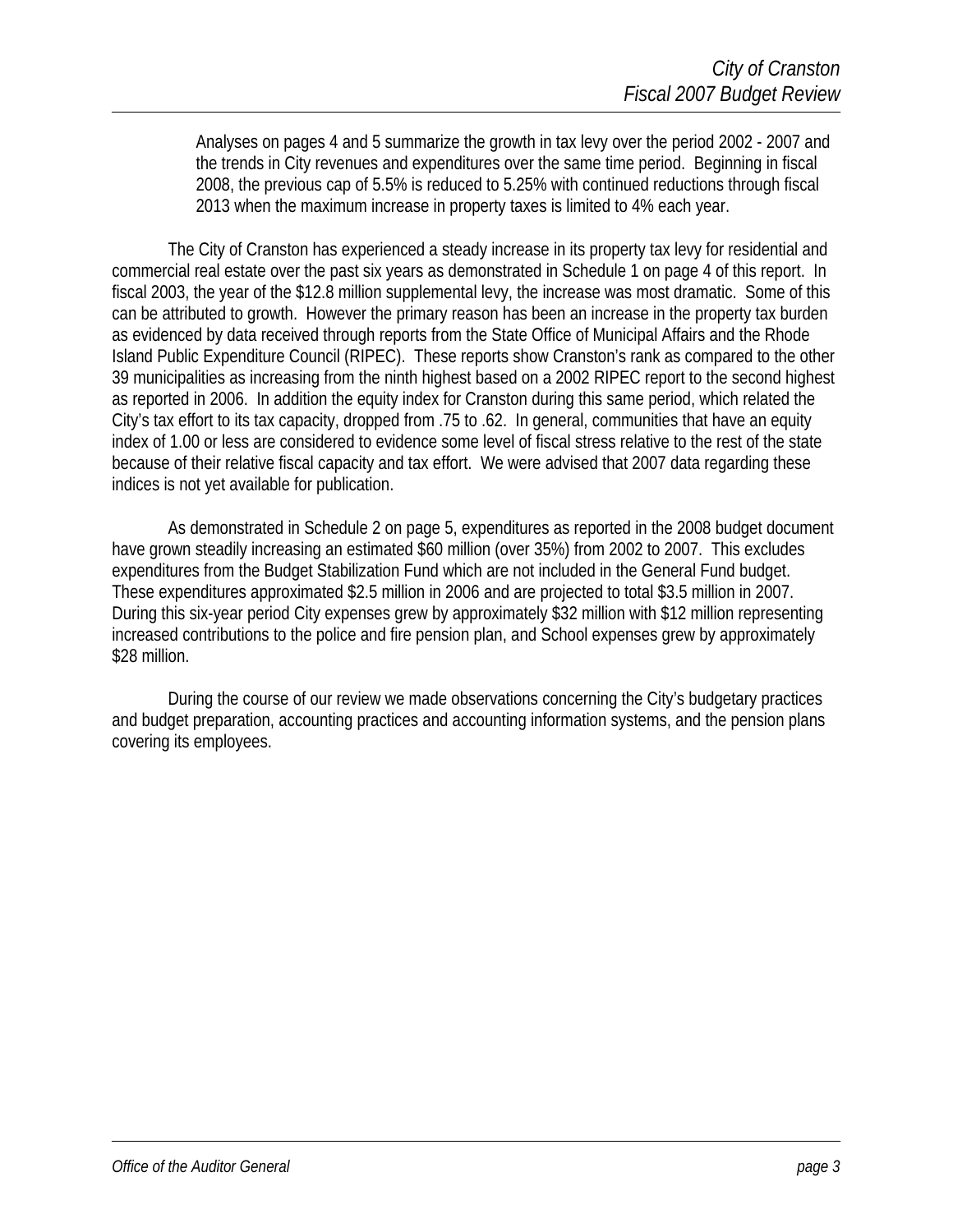Analyses on pages 4 and 5 summarize the growth in tax levy over the period 2002 - 2007 and the trends in City revenues and expenditures over the same time period. Beginning in fiscal 2008, the previous cap of 5.5% is reduced to 5.25% with continued reductions through fiscal 2013 when the maximum increase in property taxes is limited to 4% each year.

The City of Cranston has experienced a steady increase in its property tax levy for residential and commercial real estate over the past six years as demonstrated in Schedule 1 on page 4 of this report. In fiscal 2003, the year of the \$12.8 million supplemental levy, the increase was most dramatic. Some of this can be attributed to growth. However the primary reason has been an increase in the property tax burden as evidenced by data received through reports from the State Office of Municipal Affairs and the Rhode Island Public Expenditure Council (RIPEC). These reports show Cranston's rank as compared to the other 39 municipalities as increasing from the ninth highest based on a 2002 RIPEC report to the second highest as reported in 2006. In addition the equity index for Cranston during this same period, which related the City's tax effort to its tax capacity, dropped from .75 to .62. In general, communities that have an equity index of 1.00 or less are considered to evidence some level of fiscal stress relative to the rest of the state because of their relative fiscal capacity and tax effort. We were advised that 2007 data regarding these indices is not yet available for publication.

As demonstrated in Schedule 2 on page 5, expenditures as reported in the 2008 budget document have grown steadily increasing an estimated \$60 million (over 35%) from 2002 to 2007. This excludes expenditures from the Budget Stabilization Fund which are not included in the General Fund budget. These expenditures approximated \$2.5 million in 2006 and are projected to total \$3.5 million in 2007. During this six-year period City expenses grew by approximately \$32 million with \$12 million representing increased contributions to the police and fire pension plan, and School expenses grew by approximately \$28 million.

During the course of our review we made observations concerning the City's budgetary practices and budget preparation, accounting practices and accounting information systems, and the pension plans covering its employees.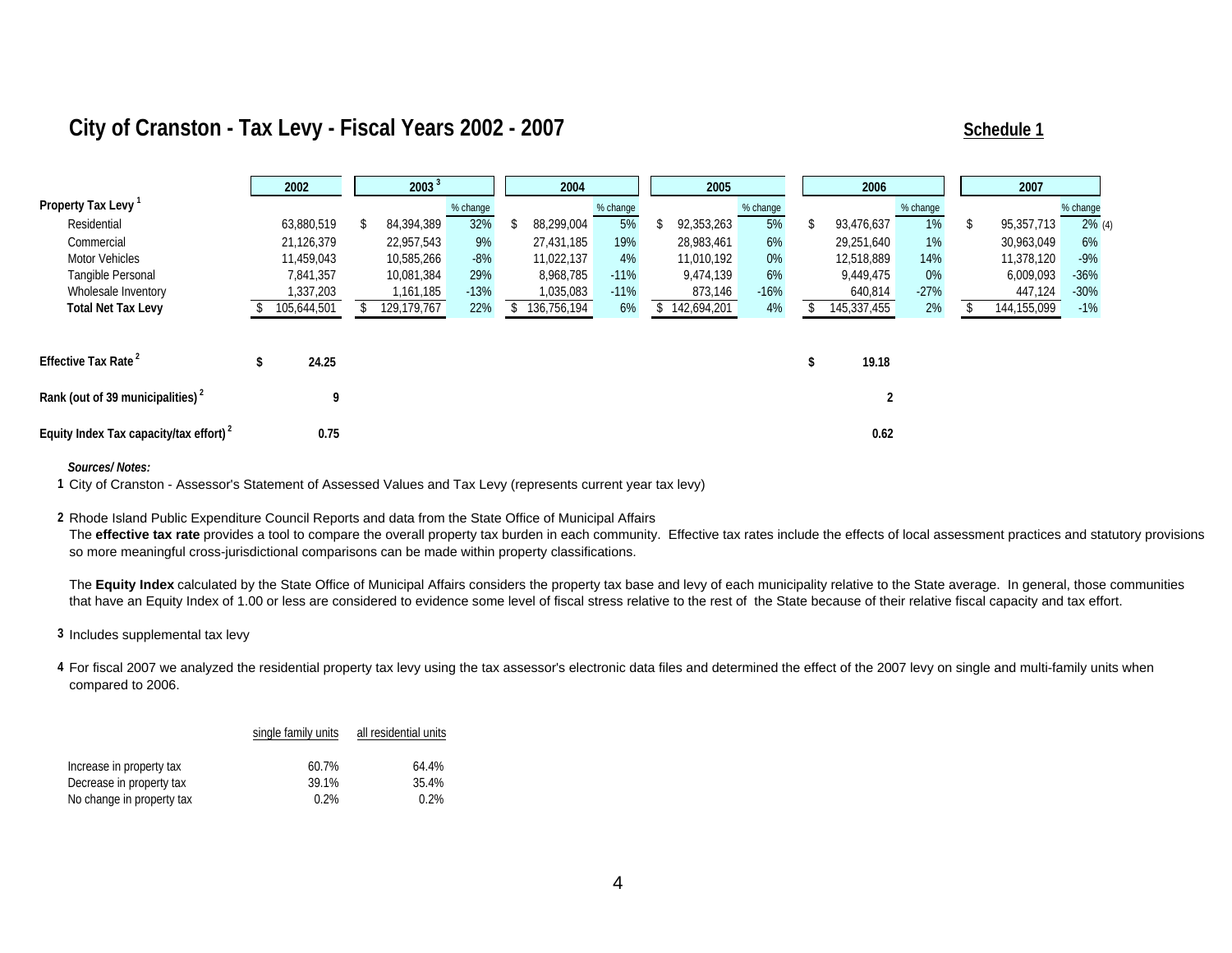### **City of Cranston - Tax Levy - Fiscal Years 2002 - 2007 Schedule 1 Schedule 1 Schedule 1**

|                                                     | 2002        | 2003 <sup>3</sup> |          |  | 2004        |          | 2005        |          |  | 2006        |          | 2007        |           |  |
|-----------------------------------------------------|-------------|-------------------|----------|--|-------------|----------|-------------|----------|--|-------------|----------|-------------|-----------|--|
| Property Tax Levy                                   |             |                   | % change |  |             | % change |             | % change |  |             | % change |             | % change  |  |
| Residential                                         | 63,880,519  | 84,394,389        | 32%      |  | 88,299,004  | 5%       | 92,353,263  | 5%       |  | 93,476,637  | 1%       | 95,357,713  | $2\%$ (4) |  |
| Commercial                                          | 21,126,379  | 22,957,543        | 9%       |  | 27,431,185  | 19%      | 28,983,461  | 6%       |  | 29,251,640  | 1%       | 30,963,049  | 6%        |  |
| <b>Motor Vehicles</b>                               | 11,459,043  | 10,585,266        | $-8%$    |  | 11,022,137  | 4%       | 11.010.192  | 0%       |  | 12,518,889  | 14%      | 11,378,120  | $-9%$     |  |
| Tangible Personal                                   | 7,841,357   | 10,081,384        | 29%      |  | 8.968.785   | $-11%$   | 9.474.139   | 6%       |  | 9,449,475   | 0%       | 6,009,093   | $-36%$    |  |
| Wholesale Inventory                                 | 1,337,203   | 1,161,185         | $-13%$   |  | 1,035,083   | $-11%$   | 873,146     | $-16%$   |  | 640,814     | $-27%$   | 447,124     | $-30%$    |  |
| <b>Total Net Tax Levy</b>                           | 105,644,501 | 129,179,767       | 22%      |  | 136,756,194 | 6%       | 142,694,201 | 4%       |  | 145,337,455 | 2%       | 144,155,099 | $-1%$     |  |
|                                                     |             |                   |          |  |             |          |             |          |  |             |          |             |           |  |
| Effective Tax Rate <sup>2</sup>                     | 24.25       |                   |          |  |             |          |             |          |  | 19.18       |          |             |           |  |
| Rank (out of 39 municipalities) <sup>2</sup>        | 9           |                   |          |  |             |          |             |          |  | 2           |          |             |           |  |
| Equity Index Tax capacity/tax effort) $\frac{2}{3}$ | 0.75        |                   |          |  |             |          |             |          |  | 0.62        |          |             |           |  |

*Sources/ Notes:*

1 City of Cranston - Assessor's Statement of Assessed Values and Tax Levy (represents current year tax levy)

**2** Rhode Island Public Expenditure Council Reports and data from the State Office of Municipal Affairs Rhode Island Public Expenditure Council Reports and data from the State Office of Municipal Affairs

The effective tax rate provides a tool to compare the overall property tax burden in each community. Effective tax rates include the effects of local assessment practices and statutory provisions so more meaningful cross-jurisdictional comparisons can be made within property classifications.

The Equity Index calculated by the State Office of Municipal Affairs considers the property tax base and levy of each municipality relative to the State average. In general, those communities that have an Equity Index of 1.00 or less are considered to evidence some level of fiscal stress relative to the rest of the State because of their relative fiscal capacity and tax effort.

**3** Includes supplemental tax levy Includes supplemental tax levy

4 For fiscal 2007 we analyzed the residential property tax levy using the tax assessor's electronic data files and determined the effect of the 2007 levy on single and multi-family units when compared to 2006.

|                           | single family units | all residential units |
|---------------------------|---------------------|-----------------------|
| Increase in property tax  | 60.7%               | 64.4%                 |
| Decrease in property tax  | 39.1%               | 35.4%                 |
| No change in property tax | 0.2%                | 0.2%                  |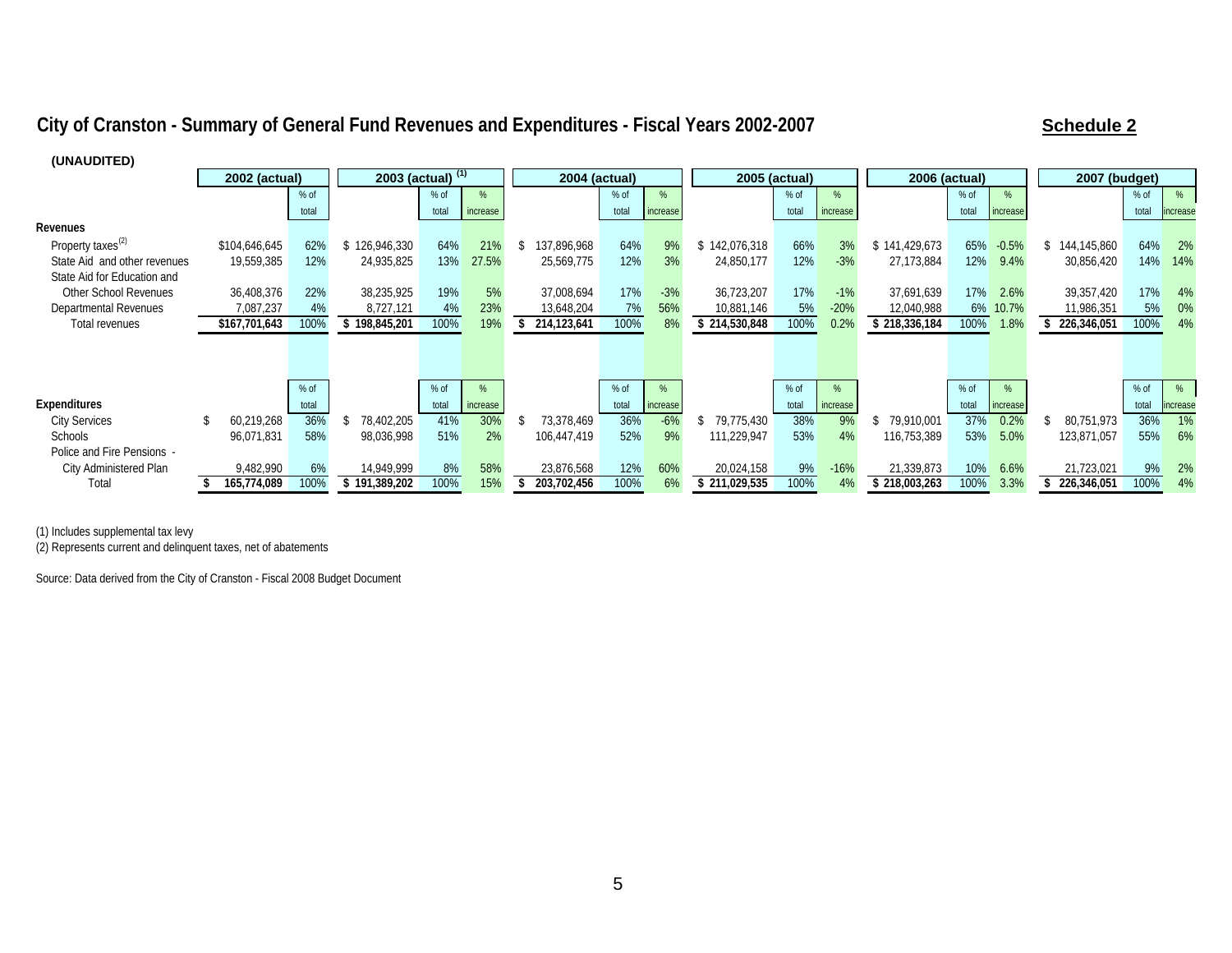#### City of Cranston - Summary of General Fund Revenues and Expenditures - Fiscal Years 2002-2007 **Schedule 2** Schedule 2

| , טועריסטריזי                 |               |        |                     |       |          |             |                      |          |               |               |          |                      |       |          |                      |        |          |
|-------------------------------|---------------|--------|---------------------|-------|----------|-------------|----------------------|----------|---------------|---------------|----------|----------------------|-------|----------|----------------------|--------|----------|
|                               | 2002 (actual) |        | 2003 (actual) $(1)$ |       |          |             | <b>2004 (actual)</b> |          |               | 2005 (actual) |          | <b>2006 (actual)</b> |       |          | <b>2007 (budget)</b> |        |          |
|                               |               | $%$ of |                     | % of  | %        |             | $%$ of               | %        |               | % of          | %        |                      | % of  | %        |                      | % of   | %        |
|                               |               | total  |                     | total | increase |             | total                | increase |               | total         | increase |                      | total | increase |                      | total  | increase |
| Revenues                      |               |        |                     |       |          |             |                      |          |               |               |          |                      |       |          |                      |        |          |
| Property taxes <sup>(2)</sup> | \$104,646,645 | 62%    | 126,946,330         | 64%   | 21%      | 137,896,968 | 64%                  | 9%       | \$142,076,318 | 66%           | 3%       | \$141,429,673        | 65%   | $-0.5%$  | 144,145,860          | 64%    | 2%       |
| State Aid and other revenues  | 19,559,385    | 12%    | 24,935,825          | 13%   | 27.5%    | 25,569,775  | 12%                  | 3%       | 24,850,177    | 12%           | $-3%$    | 27,173,884           | 12%   | 9.4%     | 30,856,420           | 14%    | 14%      |
| State Aid for Education and   |               |        |                     |       |          |             |                      |          |               |               |          |                      |       |          |                      |        |          |
| Other School Revenues         | 36,408,376    | 22%    | 38,235,925          | 19%   | 5%       | 37,008,694  | 17%                  | $-3%$    | 36,723,207    | 17%           | $-1%$    | 37.691.639           | 17%   | 2.6%     | 39,357,420           | 17%    | 4%       |
| Departmental Revenues         | 7,087,237     | 4%     | 8,727,121           | 4%    | 23%      | 13,648,204  | 7%                   | 56%      | 10,881,146    | 5%            | $-20%$   | 12,040,988           | 6%    | 10.7%    | 11,986,351           | 5%     | 0%       |
| <b>Total revenues</b>         | \$167,701,643 | 100%   | 198,845,201         | 100%  | 19%      | 214,123,641 | 100%                 | 8%       | \$214,530,848 | 100%          | 0.2%     | \$218,336,184        | 100%  | 1.8%     | 226,346,051          | 100%   | 4%       |
|                               |               |        |                     |       |          |             |                      |          |               |               |          |                      |       |          |                      |        |          |
|                               |               |        |                     |       |          |             |                      |          |               |               |          |                      |       |          |                      |        |          |
|                               |               |        |                     |       |          |             |                      |          |               |               |          |                      |       |          |                      |        |          |
|                               |               | $%$ of |                     | % of  | %        |             | % of                 |          |               | % of          | %        |                      | % of  |          |                      | $%$ of | %        |
| Expenditures                  |               | total  |                     | total | increase |             | total                | increase |               | total         | increase |                      | total | increase |                      | total  | increase |
| <b>City Services</b>          | 60,219,268    | 36%    | 78,402,205          | 41%   | 30%      | 73.378.469  | 36%                  | $-6%$    | \$79,775,430  | 38%           | 9%       | 79.910.001           | 37%   | 0.2%     | 80,751,973           | 36%    | 1%       |
| <b>Schools</b>                | 96,071,831    | 58%    | 98,036,998          | 51%   | 2%       | 106,447,419 | 52%                  | 9%       | 111,229,947   | 53%           | 4%       | 116,753,389          | 53%   | 5.0%     | 123,871,057          | 55%    | 6%       |
| Police and Fire Pensions -    |               |        |                     |       |          |             |                      |          |               |               |          |                      |       |          |                      |        |          |
| City Administered Plan        | 9,482,990     | 6%     | 14,949,999          | 8%    | 58%      | 23,876,568  | 12%                  | 60%      | 20,024,158    | 9%            | $-16%$   | 21,339,873           | 10%   | 6.6%     | 21,723,021           | 9%     | 2%       |
| Total                         | 165,774,089   | 100%   | 191,389,202         | 100%  | 15%      | 203,702,456 | 100%                 | 6%       | \$211,029,535 | 100%          | 4%       | 218,003,263          | 100%  | 3.3%     | 226,346,051          | 100%   | 4%       |

**(UNAUDITED)**

(1) Includes supplemental tax levy

(2) Represents current and delinquent taxes, net of abatements

Source: Data derived from the City of Cranston - Fiscal 2008 Budget Document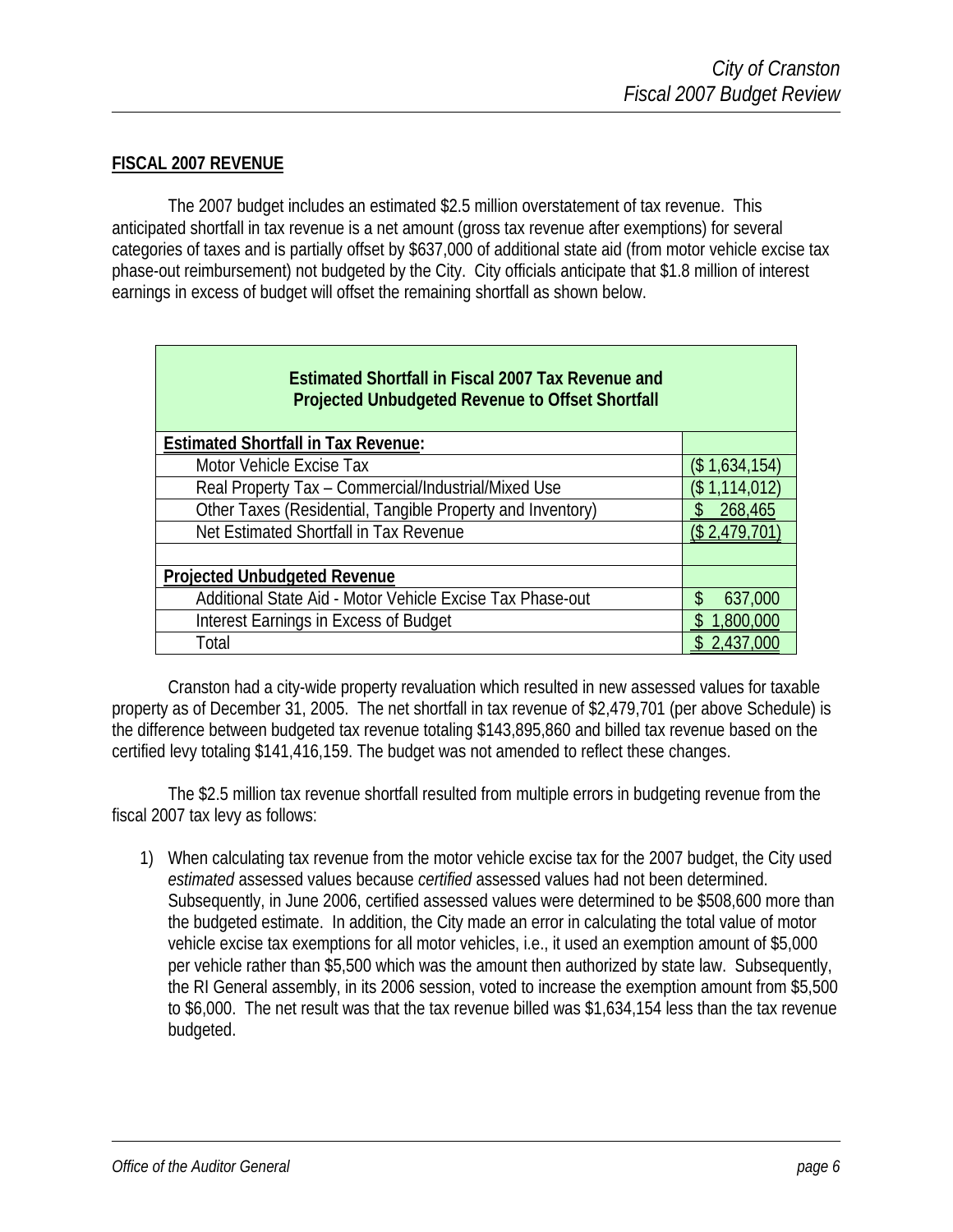#### **FISCAL 2007 REVENUE**

 The 2007 budget includes an estimated \$2.5 million overstatement of tax revenue. This anticipated shortfall in tax revenue is a net amount (gross tax revenue after exemptions) for several categories of taxes and is partially offset by \$637,000 of additional state aid (from motor vehicle excise tax phase-out reimbursement) not budgeted by the City. City officials anticipate that \$1.8 million of interest earnings in excess of budget will offset the remaining shortfall as shown below.

| <b>Estimated Shortfall in Fiscal 2007 Tax Revenue and</b><br><b>Projected Unbudgeted Revenue to Offset Shortfall</b> |                |
|----------------------------------------------------------------------------------------------------------------------|----------------|
| <b>Estimated Shortfall in Tax Revenue:</b>                                                                           |                |
| Motor Vehicle Excise Tax                                                                                             | (\$ 1,634,154) |
| Real Property Tax - Commercial/Industrial/Mixed Use                                                                  | (\$1,114,012)  |
| Other Taxes (Residential, Tangible Property and Inventory)                                                           | 268,465        |
| Net Estimated Shortfall in Tax Revenue                                                                               | (\$ 2.479.70   |
|                                                                                                                      |                |
| <b>Projected Unbudgeted Revenue</b>                                                                                  |                |
| Additional State Aid - Motor Vehicle Excise Tax Phase-out                                                            | \$<br>637,000  |
| Interest Earnings in Excess of Budget                                                                                | 1,800,000      |
| Total                                                                                                                | 2.43L          |

 Cranston had a city-wide property revaluation which resulted in new assessed values for taxable property as of December 31, 2005. The net shortfall in tax revenue of \$2,479,701 (per above Schedule) is the difference between budgeted tax revenue totaling \$143,895,860 and billed tax revenue based on the certified levy totaling \$141,416,159. The budget was not amended to reflect these changes.

 The \$2.5 million tax revenue shortfall resulted from multiple errors in budgeting revenue from the fiscal 2007 tax levy as follows:

1) When calculating tax revenue from the motor vehicle excise tax for the 2007 budget, the City used *estimated* assessed values because *certified* assessed values had not been determined. Subsequently, in June 2006, certified assessed values were determined to be \$508,600 more than the budgeted estimate. In addition, the City made an error in calculating the total value of motor vehicle excise tax exemptions for all motor vehicles, i.e., it used an exemption amount of \$5,000 per vehicle rather than \$5,500 which was the amount then authorized by state law. Subsequently, the RI General assembly, in its 2006 session, voted to increase the exemption amount from \$5,500 to \$6,000. The net result was that the tax revenue billed was \$1,634,154 less than the tax revenue budgeted.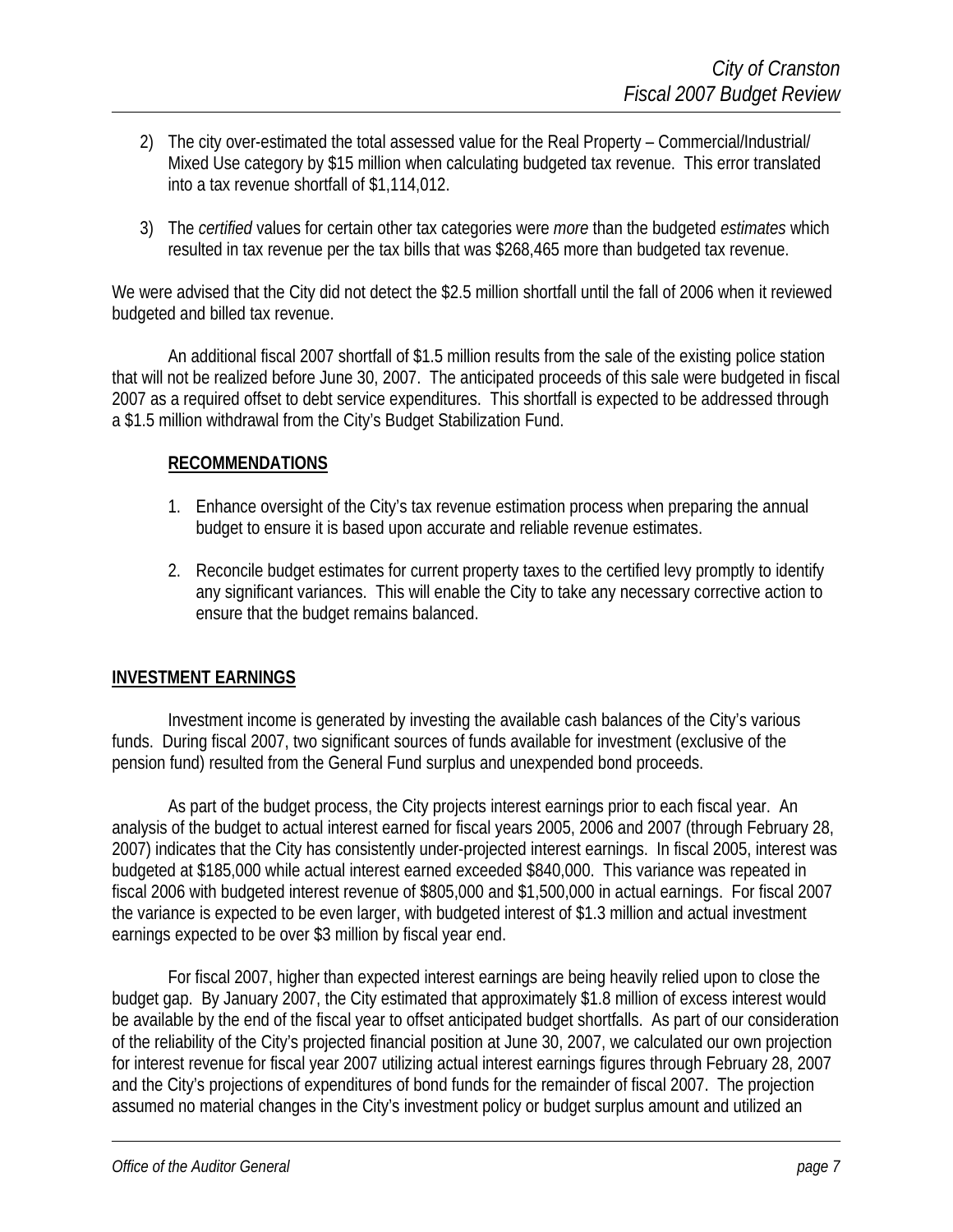- 2) The city over-estimated the total assessed value for the Real Property Commercial/Industrial/ Mixed Use category by \$15 million when calculating budgeted tax revenue. This error translated into a tax revenue shortfall of \$1,114,012.
- 3) The *certified* values for certain other tax categories were *more* than the budgeted *estimates* which resulted in tax revenue per the tax bills that was \$268,465 more than budgeted tax revenue.

We were advised that the City did not detect the \$2.5 million shortfall until the fall of 2006 when it reviewed budgeted and billed tax revenue.

An additional fiscal 2007 shortfall of \$1.5 million results from the sale of the existing police station that will not be realized before June 30, 2007. The anticipated proceeds of this sale were budgeted in fiscal 2007 as a required offset to debt service expenditures. This shortfall is expected to be addressed through a \$1.5 million withdrawal from the City's Budget Stabilization Fund.

#### **RECOMMENDATIONS**

- 1. Enhance oversight of the City's tax revenue estimation process when preparing the annual budget to ensure it is based upon accurate and reliable revenue estimates.
- 2. Reconcile budget estimates for current property taxes to the certified levy promptly to identify any significant variances. This will enable the City to take any necessary corrective action to ensure that the budget remains balanced.

#### **INVESTMENT EARNINGS**

Investment income is generated by investing the available cash balances of the City's various funds. During fiscal 2007, two significant sources of funds available for investment (exclusive of the pension fund) resulted from the General Fund surplus and unexpended bond proceeds.

As part of the budget process, the City projects interest earnings prior to each fiscal year. An analysis of the budget to actual interest earned for fiscal years 2005, 2006 and 2007 (through February 28, 2007) indicates that the City has consistently under-projected interest earnings. In fiscal 2005, interest was budgeted at \$185,000 while actual interest earned exceeded \$840,000. This variance was repeated in fiscal 2006 with budgeted interest revenue of \$805,000 and \$1,500,000 in actual earnings. For fiscal 2007 the variance is expected to be even larger, with budgeted interest of \$1.3 million and actual investment earnings expected to be over \$3 million by fiscal year end.

For fiscal 2007, higher than expected interest earnings are being heavily relied upon to close the budget gap. By January 2007, the City estimated that approximately \$1.8 million of excess interest would be available by the end of the fiscal year to offset anticipated budget shortfalls. As part of our consideration of the reliability of the City's projected financial position at June 30, 2007, we calculated our own projection for interest revenue for fiscal year 2007 utilizing actual interest earnings figures through February 28, 2007 and the City's projections of expenditures of bond funds for the remainder of fiscal 2007. The projection assumed no material changes in the City's investment policy or budget surplus amount and utilized an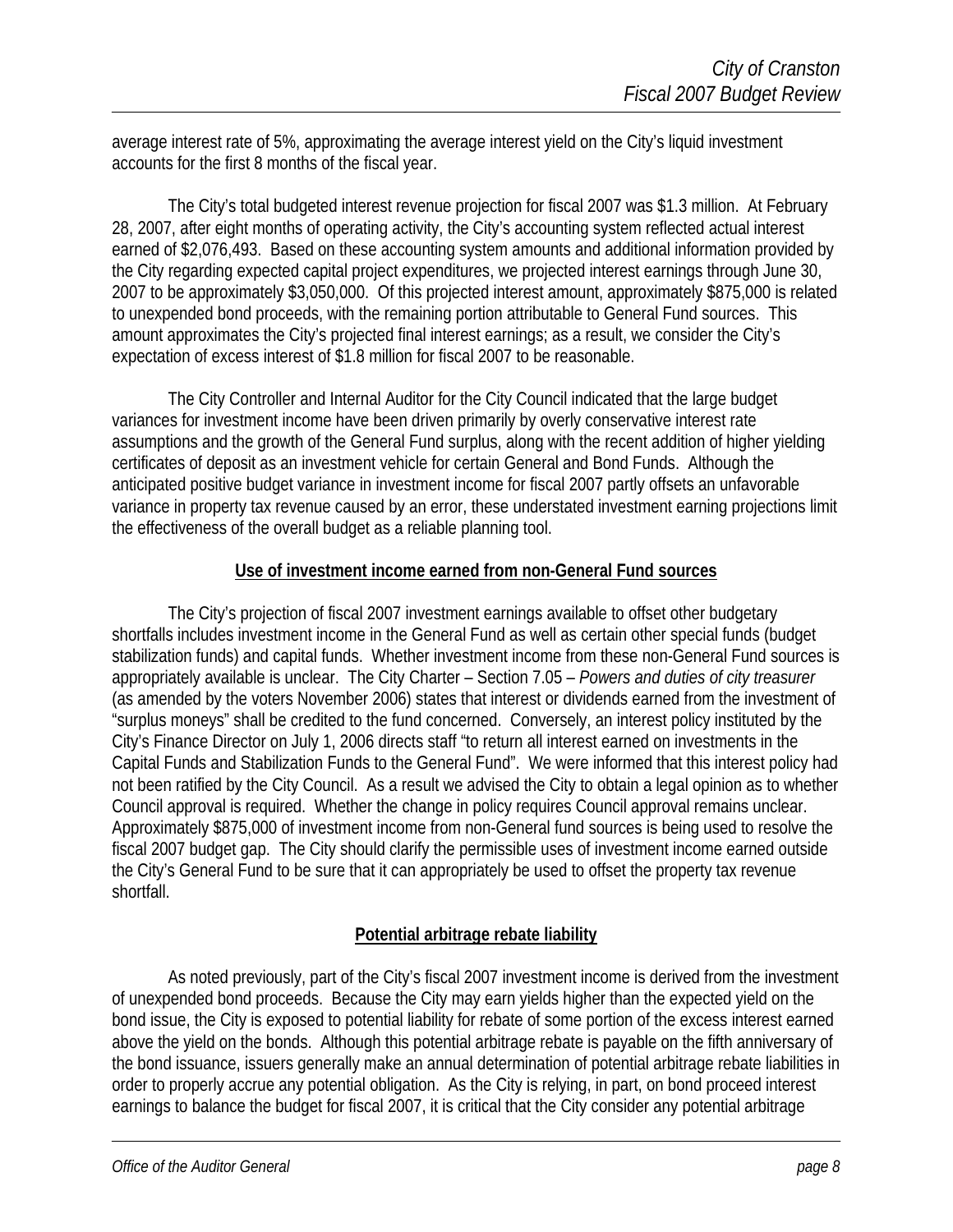average interest rate of 5%, approximating the average interest yield on the City's liquid investment accounts for the first 8 months of the fiscal year.

The City's total budgeted interest revenue projection for fiscal 2007 was \$1.3 million. At February 28, 2007, after eight months of operating activity, the City's accounting system reflected actual interest earned of \$2,076,493. Based on these accounting system amounts and additional information provided by the City regarding expected capital project expenditures, we projected interest earnings through June 30, 2007 to be approximately \$3,050,000. Of this projected interest amount, approximately \$875,000 is related to unexpended bond proceeds, with the remaining portion attributable to General Fund sources. This amount approximates the City's projected final interest earnings; as a result, we consider the City's expectation of excess interest of \$1.8 million for fiscal 2007 to be reasonable.

The City Controller and Internal Auditor for the City Council indicated that the large budget variances for investment income have been driven primarily by overly conservative interest rate assumptions and the growth of the General Fund surplus, along with the recent addition of higher yielding certificates of deposit as an investment vehicle for certain General and Bond Funds. Although the anticipated positive budget variance in investment income for fiscal 2007 partly offsets an unfavorable variance in property tax revenue caused by an error, these understated investment earning projections limit the effectiveness of the overall budget as a reliable planning tool.

#### **Use of investment income earned from non-General Fund sources**

 The City's projection of fiscal 2007 investment earnings available to offset other budgetary shortfalls includes investment income in the General Fund as well as certain other special funds (budget stabilization funds) and capital funds. Whether investment income from these non-General Fund sources is appropriately available is unclear. The City Charter – Section 7.05 – *Powers and duties of city treasurer* (as amended by the voters November 2006) states that interest or dividends earned from the investment of "surplus moneys" shall be credited to the fund concerned. Conversely, an interest policy instituted by the City's Finance Director on July 1, 2006 directs staff "to return all interest earned on investments in the Capital Funds and Stabilization Funds to the General Fund". We were informed that this interest policy had not been ratified by the City Council. As a result we advised the City to obtain a legal opinion as to whether Council approval is required. Whether the change in policy requires Council approval remains unclear. Approximately \$875,000 of investment income from non-General fund sources is being used to resolve the fiscal 2007 budget gap. The City should clarify the permissible uses of investment income earned outside the City's General Fund to be sure that it can appropriately be used to offset the property tax revenue shortfall.

#### **Potential arbitrage rebate liability**

As noted previously, part of the City's fiscal 2007 investment income is derived from the investment of unexpended bond proceeds. Because the City may earn yields higher than the expected yield on the bond issue, the City is exposed to potential liability for rebate of some portion of the excess interest earned above the yield on the bonds. Although this potential arbitrage rebate is payable on the fifth anniversary of the bond issuance, issuers generally make an annual determination of potential arbitrage rebate liabilities in order to properly accrue any potential obligation. As the City is relying, in part, on bond proceed interest earnings to balance the budget for fiscal 2007, it is critical that the City consider any potential arbitrage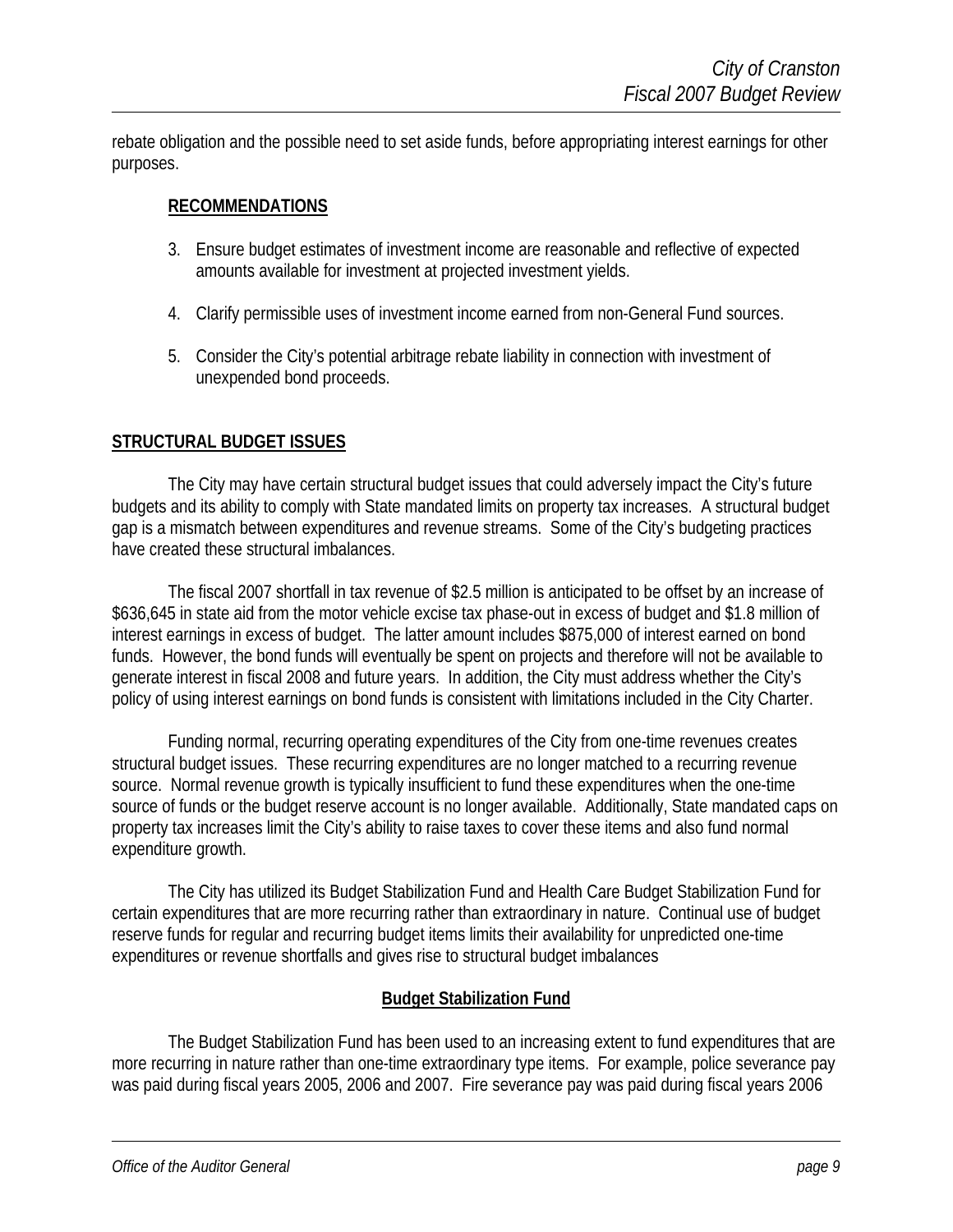rebate obligation and the possible need to set aside funds, before appropriating interest earnings for other purposes.

#### **RECOMMENDATIONS**

- 3. Ensure budget estimates of investment income are reasonable and reflective of expected amounts available for investment at projected investment yields.
- 4. Clarify permissible uses of investment income earned from non-General Fund sources.
- 5. Consider the City's potential arbitrage rebate liability in connection with investment of unexpended bond proceeds.

#### **STRUCTURAL BUDGET ISSUES**

 The City may have certain structural budget issues that could adversely impact the City's future budgets and its ability to comply with State mandated limits on property tax increases. A structural budget gap is a mismatch between expenditures and revenue streams. Some of the City's budgeting practices have created these structural imbalances.

 The fiscal 2007 shortfall in tax revenue of \$2.5 million is anticipated to be offset by an increase of \$636,645 in state aid from the motor vehicle excise tax phase-out in excess of budget and \$1.8 million of interest earnings in excess of budget. The latter amount includes \$875,000 of interest earned on bond funds. However, the bond funds will eventually be spent on projects and therefore will not be available to generate interest in fiscal 2008 and future years. In addition, the City must address whether the City's policy of using interest earnings on bond funds is consistent with limitations included in the City Charter.

 Funding normal, recurring operating expenditures of the City from one-time revenues creates structural budget issues. These recurring expenditures are no longer matched to a recurring revenue source. Normal revenue growth is typically insufficient to fund these expenditures when the one-time source of funds or the budget reserve account is no longer available. Additionally, State mandated caps on property tax increases limit the City's ability to raise taxes to cover these items and also fund normal expenditure growth.

The City has utilized its Budget Stabilization Fund and Health Care Budget Stabilization Fund for certain expenditures that are more recurring rather than extraordinary in nature. Continual use of budget reserve funds for regular and recurring budget items limits their availability for unpredicted one-time expenditures or revenue shortfalls and gives rise to structural budget imbalances

#### **Budget Stabilization Fund**

 The Budget Stabilization Fund has been used to an increasing extent to fund expenditures that are more recurring in nature rather than one-time extraordinary type items. For example, police severance pay was paid during fiscal years 2005, 2006 and 2007. Fire severance pay was paid during fiscal years 2006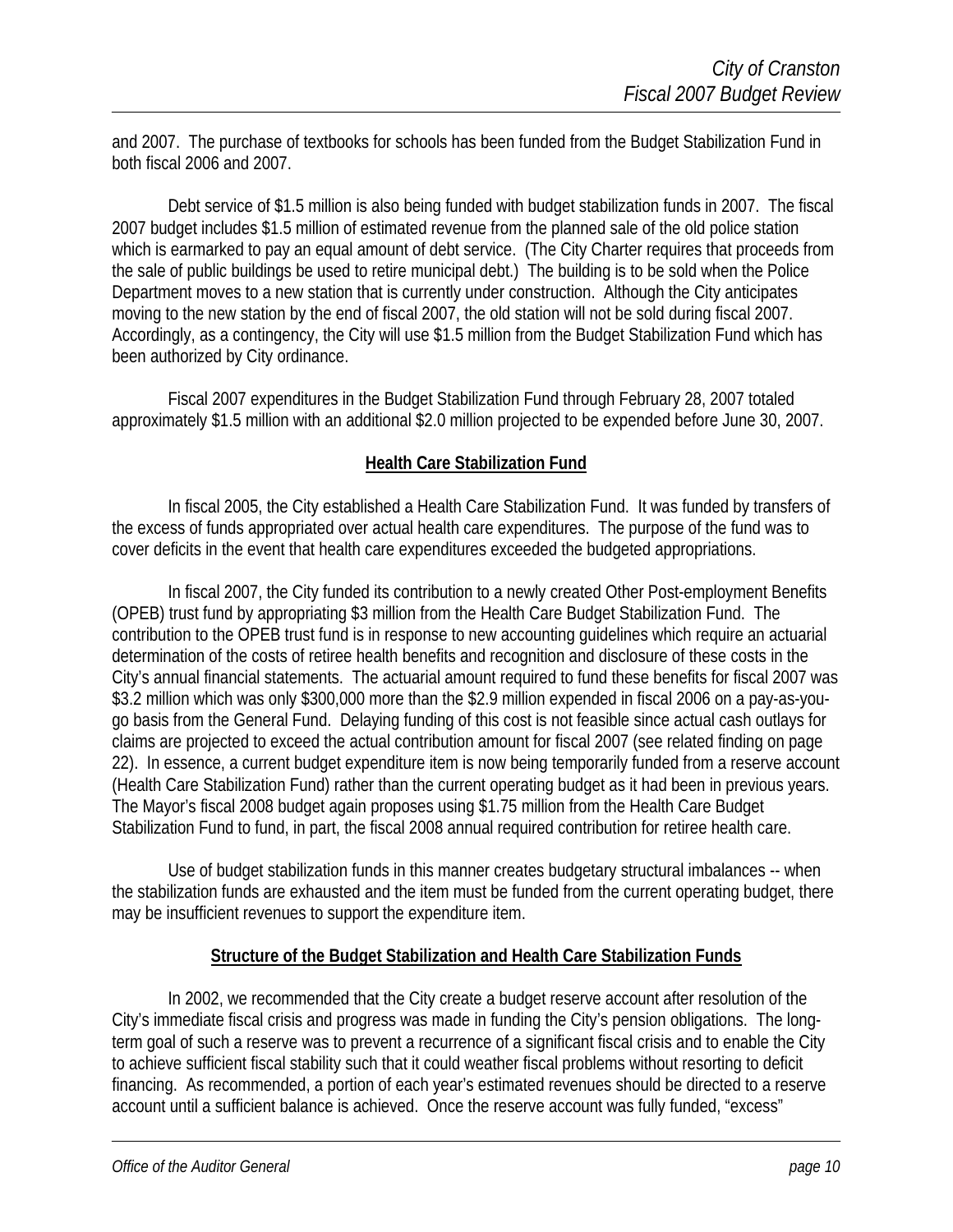and 2007. The purchase of textbooks for schools has been funded from the Budget Stabilization Fund in both fiscal 2006 and 2007.

 Debt service of \$1.5 million is also being funded with budget stabilization funds in 2007. The fiscal 2007 budget includes \$1.5 million of estimated revenue from the planned sale of the old police station which is earmarked to pay an equal amount of debt service. (The City Charter requires that proceeds from the sale of public buildings be used to retire municipal debt.) The building is to be sold when the Police Department moves to a new station that is currently under construction. Although the City anticipates moving to the new station by the end of fiscal 2007, the old station will not be sold during fiscal 2007. Accordingly, as a contingency, the City will use \$1.5 million from the Budget Stabilization Fund which has been authorized by City ordinance.

 Fiscal 2007 expenditures in the Budget Stabilization Fund through February 28, 2007 totaled approximately \$1.5 million with an additional \$2.0 million projected to be expended before June 30, 2007.

#### **Health Care Stabilization Fund**

 In fiscal 2005, the City established a Health Care Stabilization Fund. It was funded by transfers of the excess of funds appropriated over actual health care expenditures. The purpose of the fund was to cover deficits in the event that health care expenditures exceeded the budgeted appropriations.

 In fiscal 2007, the City funded its contribution to a newly created Other Post-employment Benefits (OPEB) trust fund by appropriating \$3 million from the Health Care Budget Stabilization Fund. The contribution to the OPEB trust fund is in response to new accounting guidelines which require an actuarial determination of the costs of retiree health benefits and recognition and disclosure of these costs in the City's annual financial statements. The actuarial amount required to fund these benefits for fiscal 2007 was \$3.2 million which was only \$300,000 more than the \$2.9 million expended in fiscal 2006 on a pay-as-yougo basis from the General Fund. Delaying funding of this cost is not feasible since actual cash outlays for claims are projected to exceed the actual contribution amount for fiscal 2007 (see related finding on page 22). In essence, a current budget expenditure item is now being temporarily funded from a reserve account (Health Care Stabilization Fund) rather than the current operating budget as it had been in previous years. The Mayor's fiscal 2008 budget again proposes using \$1.75 million from the Health Care Budget Stabilization Fund to fund, in part, the fiscal 2008 annual required contribution for retiree health care.

 Use of budget stabilization funds in this manner creates budgetary structural imbalances -- when the stabilization funds are exhausted and the item must be funded from the current operating budget, there may be insufficient revenues to support the expenditure item.

#### **Structure of the Budget Stabilization and Health Care Stabilization Funds**

In 2002, we recommended that the City create a budget reserve account after resolution of the City's immediate fiscal crisis and progress was made in funding the City's pension obligations. The longterm goal of such a reserve was to prevent a recurrence of a significant fiscal crisis and to enable the City to achieve sufficient fiscal stability such that it could weather fiscal problems without resorting to deficit financing. As recommended, a portion of each year's estimated revenues should be directed to a reserve account until a sufficient balance is achieved. Once the reserve account was fully funded, "excess"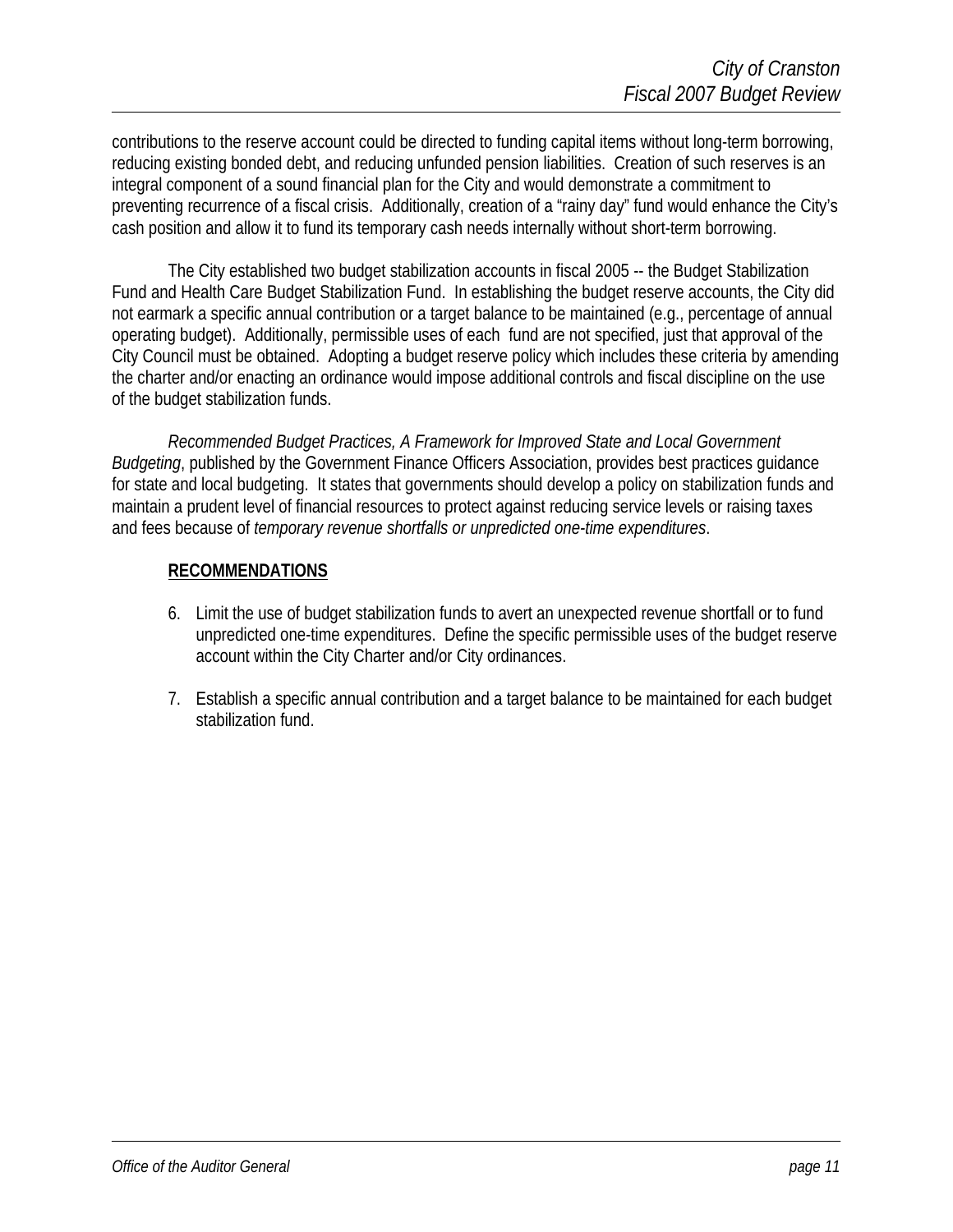contributions to the reserve account could be directed to funding capital items without long-term borrowing, reducing existing bonded debt, and reducing unfunded pension liabilities. Creation of such reserves is an integral component of a sound financial plan for the City and would demonstrate a commitment to preventing recurrence of a fiscal crisis. Additionally, creation of a "rainy day" fund would enhance the City's cash position and allow it to fund its temporary cash needs internally without short-term borrowing.

The City established two budget stabilization accounts in fiscal 2005 -- the Budget Stabilization Fund and Health Care Budget Stabilization Fund. In establishing the budget reserve accounts, the City did not earmark a specific annual contribution or a target balance to be maintained (e.g., percentage of annual operating budget). Additionally, permissible uses of each fund are not specified, just that approval of the City Council must be obtained. Adopting a budget reserve policy which includes these criteria by amending the charter and/or enacting an ordinance would impose additional controls and fiscal discipline on the use of the budget stabilization funds.

*Recommended Budget Practices, A Framework for Improved State and Local Government Budgeting*, published by the Government Finance Officers Association, provides best practices guidance for state and local budgeting. It states that governments should develop a policy on stabilization funds and maintain a prudent level of financial resources to protect against reducing service levels or raising taxes and fees because of *temporary revenue shortfalls or unpredicted one-time expenditures*.

#### **RECOMMENDATIONS**

- 6. Limit the use of budget stabilization funds to avert an unexpected revenue shortfall or to fund unpredicted one-time expenditures. Define the specific permissible uses of the budget reserve account within the City Charter and/or City ordinances.
- 7. Establish a specific annual contribution and a target balance to be maintained for each budget stabilization fund.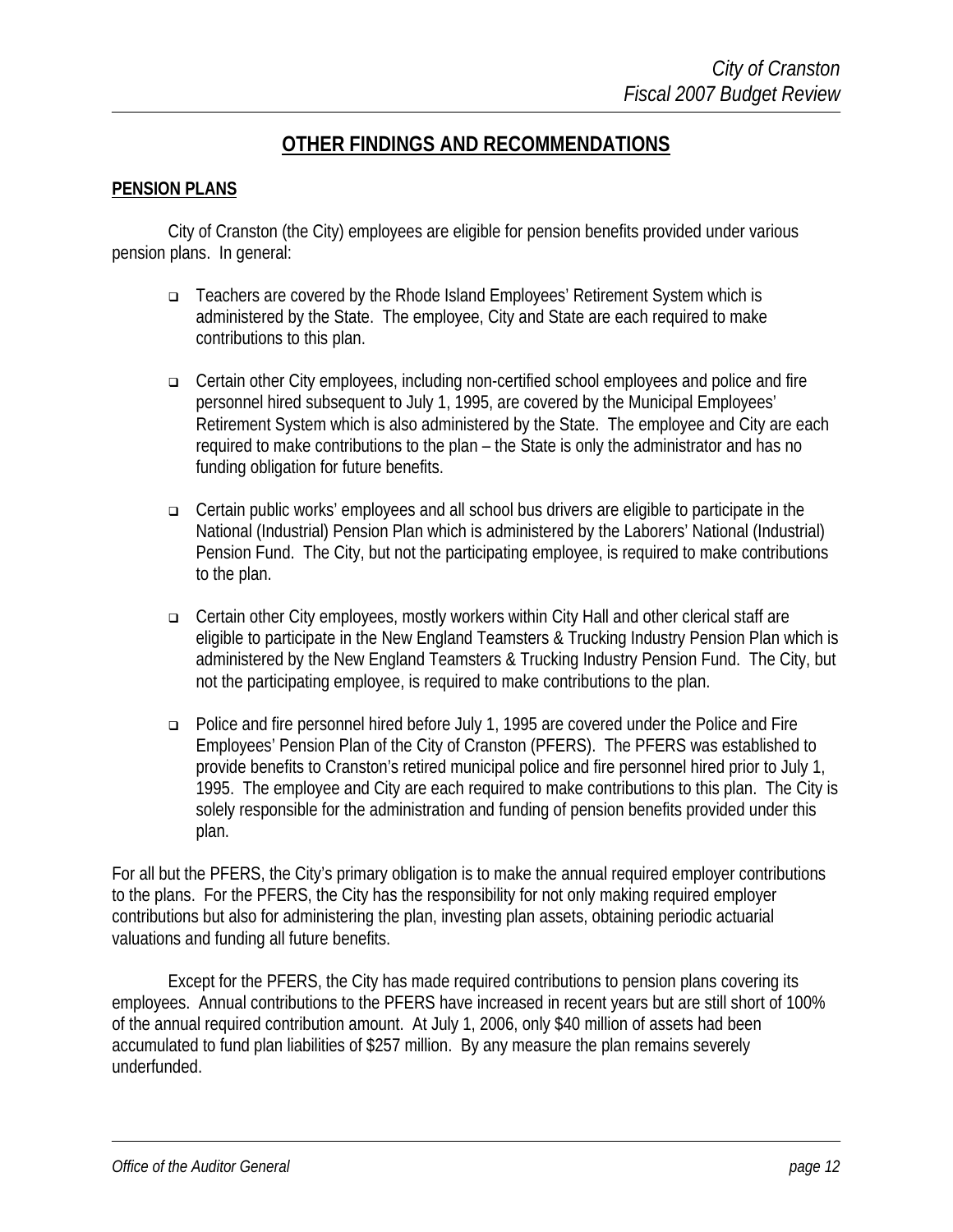#### **OTHER FINDINGS AND RECOMMENDATIONS**

#### **PENSION PLANS**

 City of Cranston (the City) employees are eligible for pension benefits provided under various pension plans. In general:

- Teachers are covered by the Rhode Island Employees' Retirement System which is administered by the State. The employee, City and State are each required to make contributions to this plan.
- Certain other City employees, including non-certified school employees and police and fire personnel hired subsequent to July 1, 1995, are covered by the Municipal Employees' Retirement System which is also administered by the State. The employee and City are each required to make contributions to the plan – the State is only the administrator and has no funding obligation for future benefits.
- Certain public works' employees and all school bus drivers are eligible to participate in the National (Industrial) Pension Plan which is administered by the Laborers' National (Industrial) Pension Fund. The City, but not the participating employee, is required to make contributions to the plan.
- Certain other City employees, mostly workers within City Hall and other clerical staff are eligible to participate in the New England Teamsters & Trucking Industry Pension Plan which is administered by the New England Teamsters & Trucking Industry Pension Fund. The City, but not the participating employee, is required to make contributions to the plan.
- Police and fire personnel hired before July 1, 1995 are covered under the Police and Fire Employees' Pension Plan of the City of Cranston (PFERS). The PFERS was established to provide benefits to Cranston's retired municipal police and fire personnel hired prior to July 1, 1995. The employee and City are each required to make contributions to this plan. The City is solely responsible for the administration and funding of pension benefits provided under this plan.

For all but the PFERS, the City's primary obligation is to make the annual required employer contributions to the plans. For the PFERS, the City has the responsibility for not only making required employer contributions but also for administering the plan, investing plan assets, obtaining periodic actuarial valuations and funding all future benefits.

 Except for the PFERS, the City has made required contributions to pension plans covering its employees. Annual contributions to the PFERS have increased in recent years but are still short of 100% of the annual required contribution amount. At July 1, 2006, only \$40 million of assets had been accumulated to fund plan liabilities of \$257 million. By any measure the plan remains severely underfunded.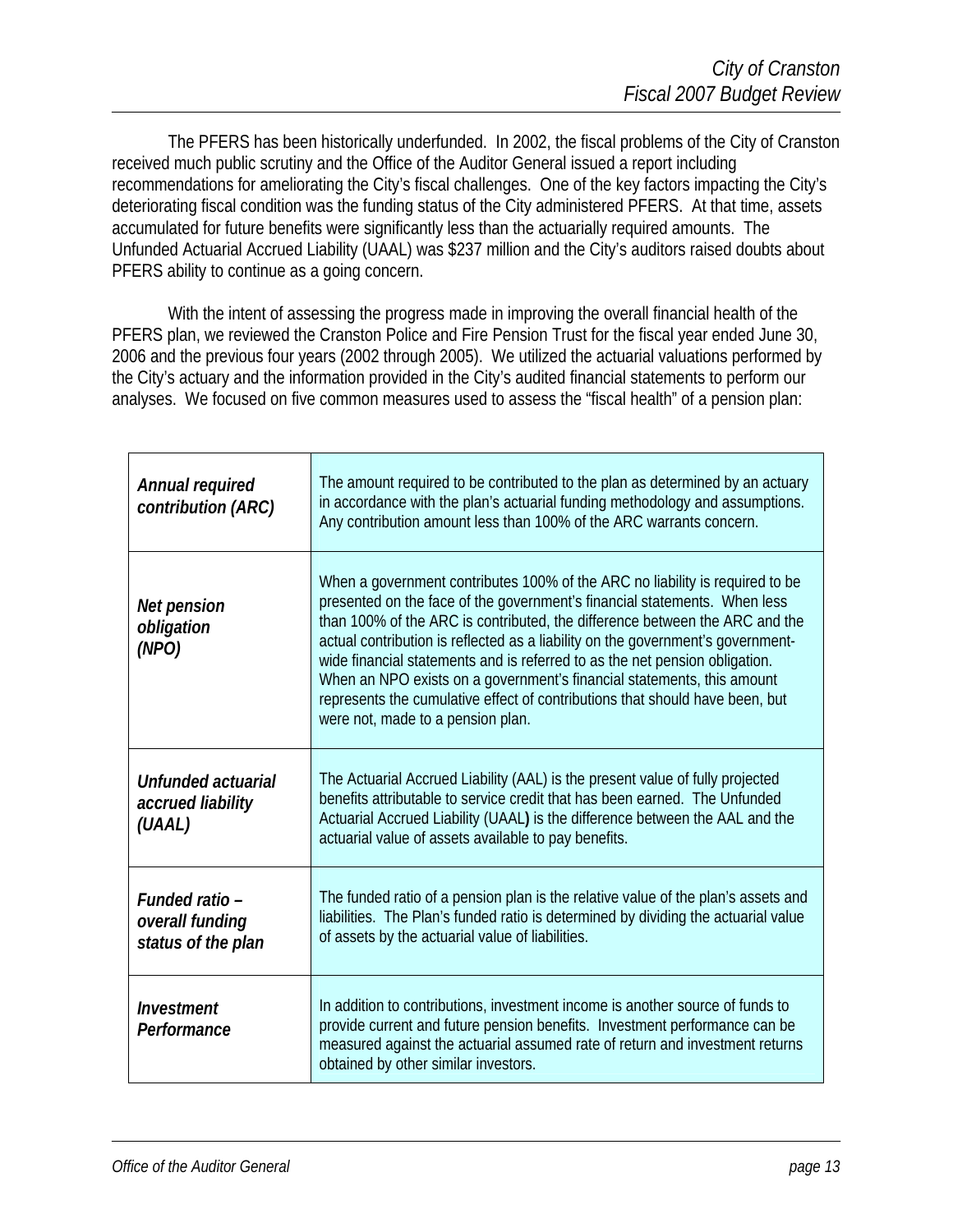The PFERS has been historically underfunded. In 2002, the fiscal problems of the City of Cranston received much public scrutiny and the Office of the Auditor General issued a report including recommendations for ameliorating the City's fiscal challenges. One of the key factors impacting the City's deteriorating fiscal condition was the funding status of the City administered PFERS. At that time, assets accumulated for future benefits were significantly less than the actuarially required amounts. The Unfunded Actuarial Accrued Liability (UAAL) was \$237 million and the City's auditors raised doubts about PFERS ability to continue as a going concern.

 With the intent of assessing the progress made in improving the overall financial health of the PFERS plan, we reviewed the Cranston Police and Fire Pension Trust for the fiscal year ended June 30, 2006 and the previous four years (2002 through 2005). We utilized the actuarial valuations performed by the City's actuary and the information provided in the City's audited financial statements to perform our analyses. We focused on five common measures used to assess the "fiscal health" of a pension plan:

| Annual required<br>contribution (ARC)                   | The amount required to be contributed to the plan as determined by an actuary<br>in accordance with the plan's actuarial funding methodology and assumptions.<br>Any contribution amount less than 100% of the ARC warrants concern.                                                                                                                                                                                                                                                                                                                                                                      |
|---------------------------------------------------------|-----------------------------------------------------------------------------------------------------------------------------------------------------------------------------------------------------------------------------------------------------------------------------------------------------------------------------------------------------------------------------------------------------------------------------------------------------------------------------------------------------------------------------------------------------------------------------------------------------------|
| Net pension<br>obligation<br>(NPO)                      | When a government contributes 100% of the ARC no liability is required to be<br>presented on the face of the government's financial statements. When less<br>than 100% of the ARC is contributed, the difference between the ARC and the<br>actual contribution is reflected as a liability on the government's government-<br>wide financial statements and is referred to as the net pension obligation.<br>When an NPO exists on a government's financial statements, this amount<br>represents the cumulative effect of contributions that should have been, but<br>were not, made to a pension plan. |
| Unfunded actuarial<br>accrued liability<br>(UAAL)       | The Actuarial Accrued Liability (AAL) is the present value of fully projected<br>benefits attributable to service credit that has been earned. The Unfunded<br>Actuarial Accrued Liability (UAAL) is the difference between the AAL and the<br>actuarial value of assets available to pay benefits.                                                                                                                                                                                                                                                                                                       |
| Funded ratio -<br>overall funding<br>status of the plan | The funded ratio of a pension plan is the relative value of the plan's assets and<br>liabilities. The Plan's funded ratio is determined by dividing the actuarial value<br>of assets by the actuarial value of liabilities.                                                                                                                                                                                                                                                                                                                                                                               |
| Investment<br>Performance                               | In addition to contributions, investment income is another source of funds to<br>provide current and future pension benefits. Investment performance can be<br>measured against the actuarial assumed rate of return and investment returns<br>obtained by other similar investors.                                                                                                                                                                                                                                                                                                                       |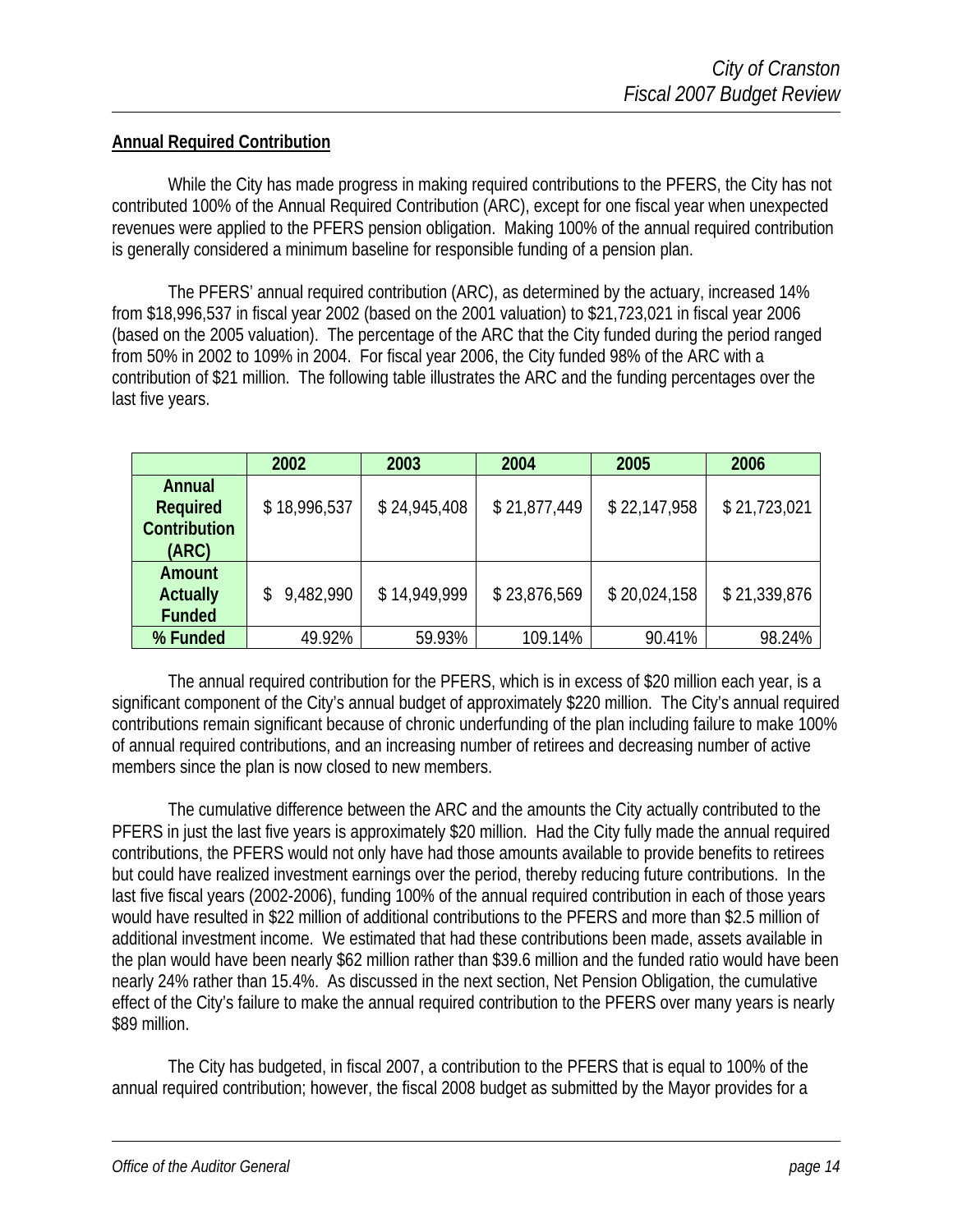#### **Annual Required Contribution**

While the City has made progress in making required contributions to the PFERS, the City has not contributed 100% of the Annual Required Contribution (ARC), except for one fiscal year when unexpected revenues were applied to the PFERS pension obligation. Making 100% of the annual required contribution is generally considered a minimum baseline for responsible funding of a pension plan.

 The PFERS' annual required contribution (ARC), as determined by the actuary, increased 14% from \$18,996,537 in fiscal year 2002 (based on the 2001 valuation) to \$21,723,021 in fiscal year 2006 (based on the 2005 valuation). The percentage of the ARC that the City funded during the period ranged from 50% in 2002 to 109% in 2004. For fiscal year 2006, the City funded 98% of the ARC with a contribution of \$21 million. The following table illustrates the ARC and the funding percentages over the last five years.

|                 | 2002                        | 2003         | 2004         | 2005         | 2006         |
|-----------------|-----------------------------|--------------|--------------|--------------|--------------|
| Annual          |                             |              |              |              |              |
| Required        | \$18,996,537                | \$24,945,408 | \$21,877,449 | \$22,147,958 | \$21,723,021 |
| Contribution    |                             |              |              |              |              |
| (ARC)           |                             |              |              |              |              |
| Amount          |                             |              |              |              |              |
| <b>Actually</b> | 9,482,990<br>$\mathbb{S}^-$ | \$14,949,999 | \$23,876,569 | \$20,024,158 | \$21,339,876 |
| <b>Funded</b>   |                             |              |              |              |              |
| % Funded        | 49.92%                      | 59.93%       | 109.14%      | 90.41%       | 98.24%       |

 The annual required contribution for the PFERS, which is in excess of \$20 million each year, is a significant component of the City's annual budget of approximately \$220 million. The City's annual required contributions remain significant because of chronic underfunding of the plan including failure to make 100% of annual required contributions, and an increasing number of retirees and decreasing number of active members since the plan is now closed to new members.

 The cumulative difference between the ARC and the amounts the City actually contributed to the PFERS in just the last five years is approximately \$20 million. Had the City fully made the annual required contributions, the PFERS would not only have had those amounts available to provide benefits to retirees but could have realized investment earnings over the period, thereby reducing future contributions. In the last five fiscal years (2002-2006), funding 100% of the annual required contribution in each of those years would have resulted in \$22 million of additional contributions to the PFERS and more than \$2.5 million of additional investment income. We estimated that had these contributions been made, assets available in the plan would have been nearly \$62 million rather than \$39.6 million and the funded ratio would have been nearly 24% rather than 15.4%. As discussed in the next section, Net Pension Obligation, the cumulative effect of the City's failure to make the annual required contribution to the PFERS over many years is nearly \$89 million.

 The City has budgeted, in fiscal 2007, a contribution to the PFERS that is equal to 100% of the annual required contribution; however, the fiscal 2008 budget as submitted by the Mayor provides for a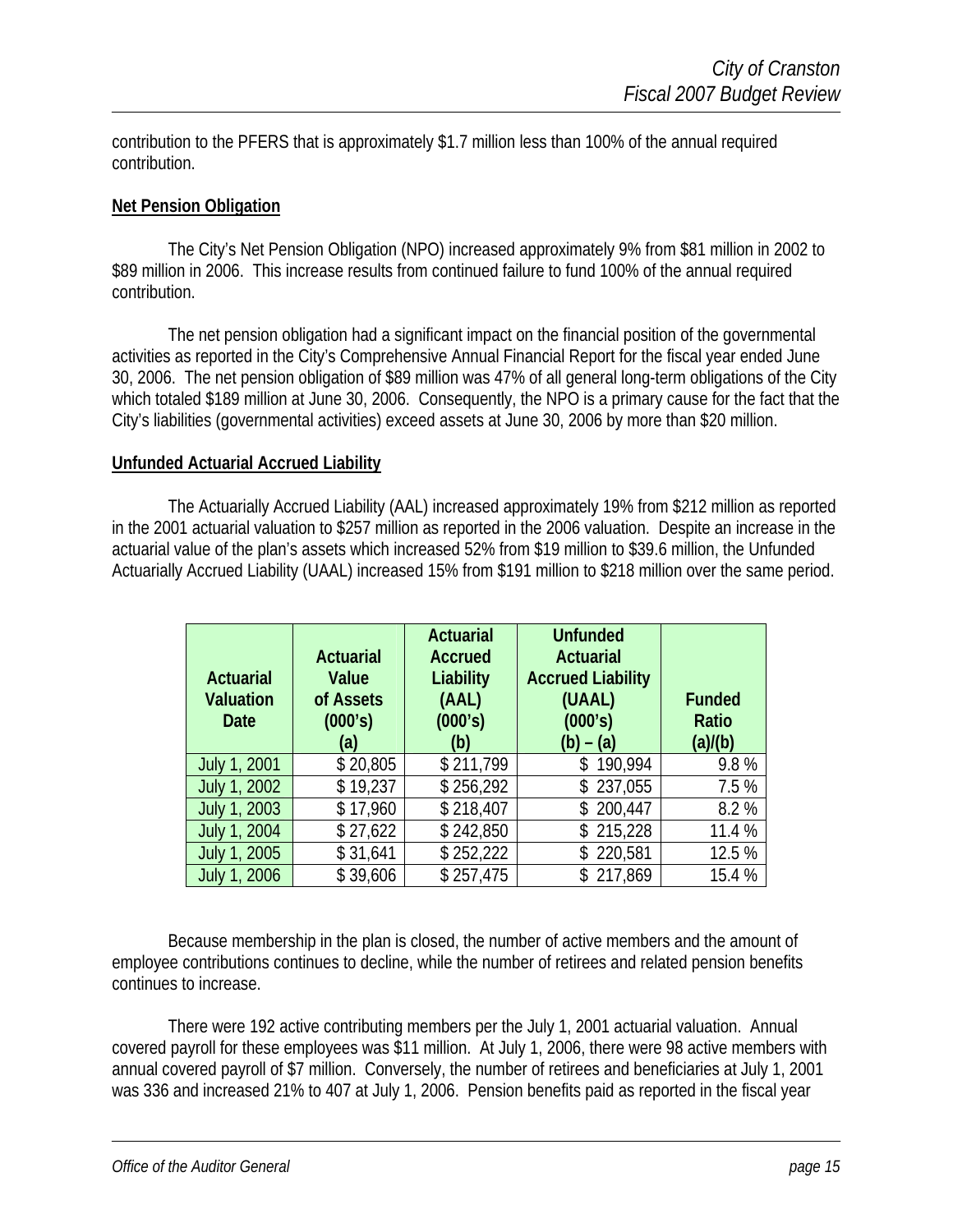contribution to the PFERS that is approximately \$1.7 million less than 100% of the annual required contribution.

#### **Net Pension Obligation**

 The City's Net Pension Obligation (NPO) increased approximately 9% from \$81 million in 2002 to \$89 million in 2006. This increase results from continued failure to fund 100% of the annual required contribution.

 The net pension obligation had a significant impact on the financial position of the governmental activities as reported in the City's Comprehensive Annual Financial Report for the fiscal year ended June 30, 2006. The net pension obligation of \$89 million was 47% of all general long-term obligations of the City which totaled \$189 million at June 30, 2006. Consequently, the NPO is a primary cause for the fact that the City's liabilities (governmental activities) exceed assets at June 30, 2006 by more than \$20 million.

#### **Unfunded Actuarial Accrued Liability**

 The Actuarially Accrued Liability (AAL) increased approximately 19% from \$212 million as reported in the 2001 actuarial valuation to \$257 million as reported in the 2006 valuation. Despite an increase in the actuarial value of the plan's assets which increased 52% from \$19 million to \$39.6 million, the Unfunded Actuarially Accrued Liability (UAAL) increased 15% from \$191 million to \$218 million over the same period.

|                  |                  | <b>Actuarial</b> | <b>Unfunded</b>          |               |
|------------------|------------------|------------------|--------------------------|---------------|
|                  | <b>Actuarial</b> | <b>Accrued</b>   | <b>Actuarial</b>         |               |
| <b>Actuarial</b> | Value            | Liability        | <b>Accrued Liability</b> |               |
| <b>Valuation</b> | of Assets        | (AAL)            | (UAAL)                   | <b>Funded</b> |
| <b>Date</b>      | (000's)          | (000's)          | (000's)                  | Ratio         |
|                  | (a)              | (b)              | (b) – (a)                | (a)/(b)       |
| July 1, 2001     | \$20,805         | \$211,799        | \$190,994                | 9.8%          |
| July 1, 2002     | \$19,237         | \$256,292        | \$237,055                | 7.5%          |
| July 1, 2003     | \$17,960         | \$218,407        | \$200,447                | 8.2%          |
| July 1, 2004     | \$27,622         | \$242,850        | \$215,228                | 11.4 %        |
| July 1, 2005     | \$31,641         | \$252,222        | \$220,581                | 12.5 %        |
| July 1, 2006     | \$39,606         | \$257,475        | \$217,869                | 15.4 %        |

 Because membership in the plan is closed, the number of active members and the amount of employee contributions continues to decline, while the number of retirees and related pension benefits continues to increase.

 There were 192 active contributing members per the July 1, 2001 actuarial valuation. Annual covered payroll for these employees was \$11 million. At July 1, 2006, there were 98 active members with annual covered payroll of \$7 million. Conversely, the number of retirees and beneficiaries at July 1, 2001 was 336 and increased 21% to 407 at July 1, 2006. Pension benefits paid as reported in the fiscal year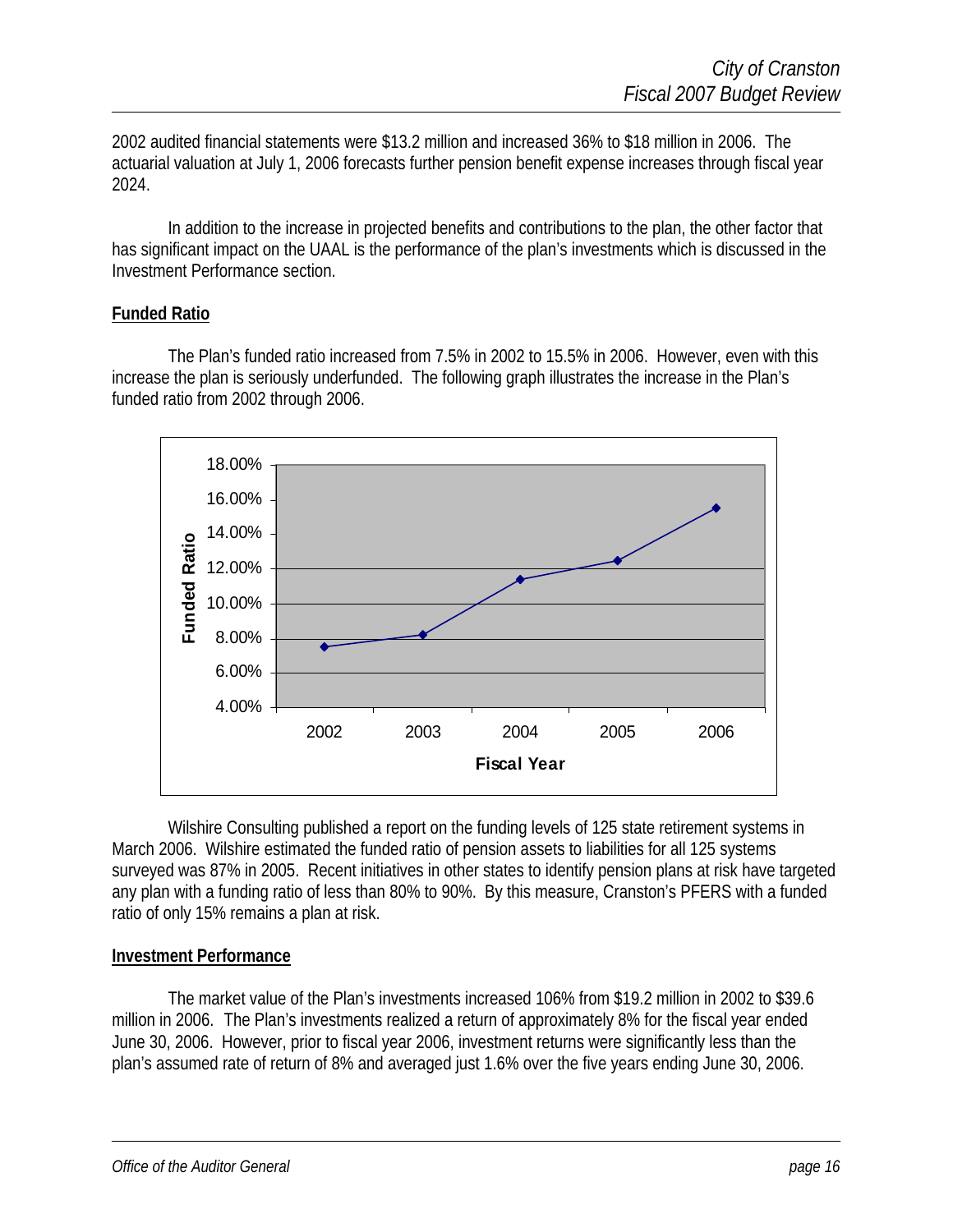2002 audited financial statements were \$13.2 million and increased 36% to \$18 million in 2006. The actuarial valuation at July 1, 2006 forecasts further pension benefit expense increases through fiscal year 2024.

 In addition to the increase in projected benefits and contributions to the plan, the other factor that has significant impact on the UAAL is the performance of the plan's investments which is discussed in the Investment Performance section.

#### **Funded Ratio**

 The Plan's funded ratio increased from 7.5% in 2002 to 15.5% in 2006. However, even with this increase the plan is seriously underfunded. The following graph illustrates the increase in the Plan's funded ratio from 2002 through 2006.



 Wilshire Consulting published a report on the funding levels of 125 state retirement systems in March 2006. Wilshire estimated the funded ratio of pension assets to liabilities for all 125 systems surveyed was 87% in 2005. Recent initiatives in other states to identify pension plans at risk have targeted any plan with a funding ratio of less than 80% to 90%. By this measure, Cranston's PFERS with a funded ratio of only 15% remains a plan at risk.

#### **Investment Performance**

 The market value of the Plan's investments increased 106% from \$19.2 million in 2002 to \$39.6 million in 2006. The Plan's investments realized a return of approximately 8% for the fiscal year ended June 30, 2006. However, prior to fiscal year 2006, investment returns were significantly less than the plan's assumed rate of return of 8% and averaged just 1.6% over the five years ending June 30, 2006.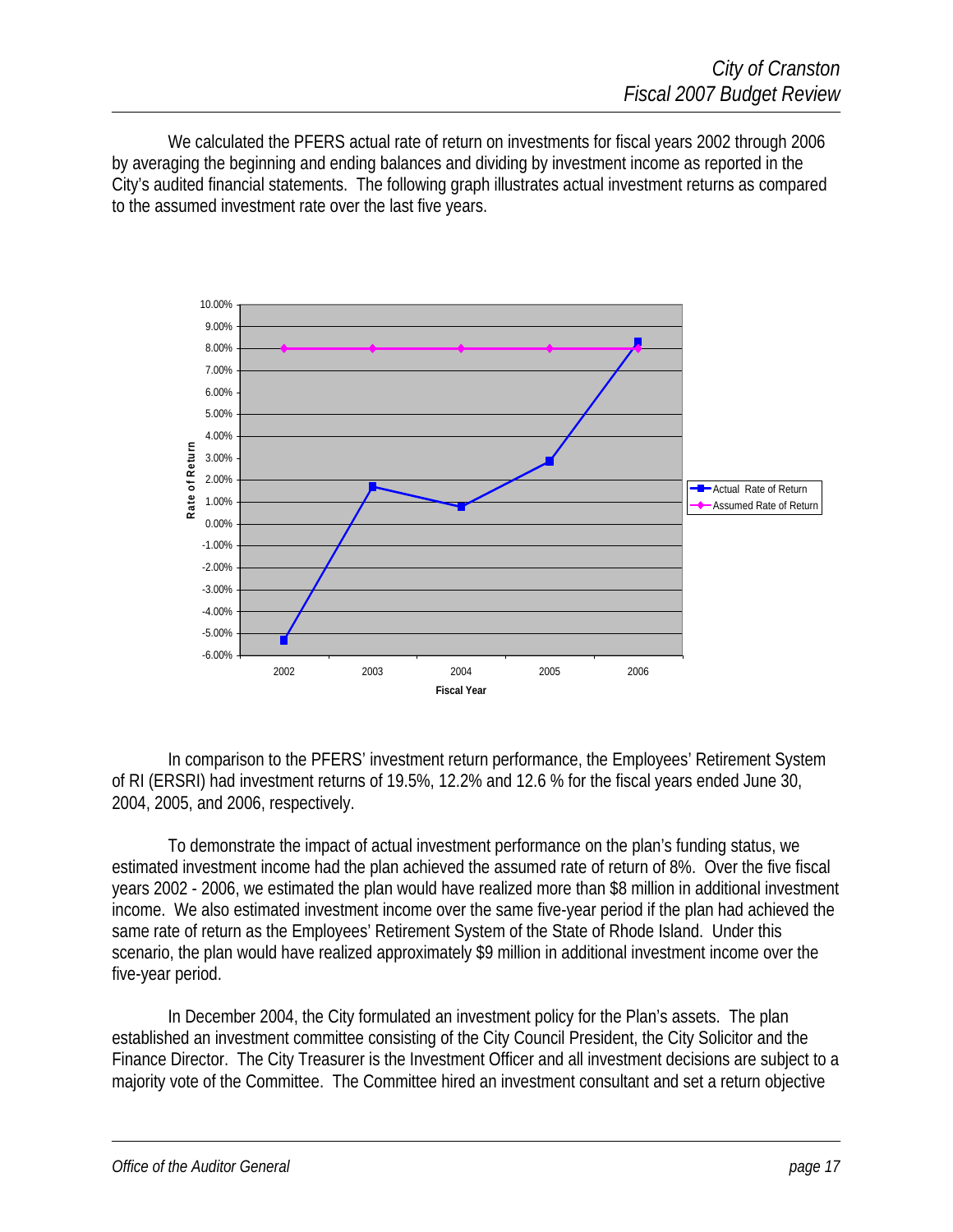We calculated the PFERS actual rate of return on investments for fiscal years 2002 through 2006 by averaging the beginning and ending balances and dividing by investment income as reported in the City's audited financial statements. The following graph illustrates actual investment returns as compared to the assumed investment rate over the last five years.



 In comparison to the PFERS' investment return performance, the Employees' Retirement System of RI (ERSRI) had investment returns of 19.5%, 12.2% and 12.6 % for the fiscal years ended June 30, 2004, 2005, and 2006, respectively.

 To demonstrate the impact of actual investment performance on the plan's funding status, we estimated investment income had the plan achieved the assumed rate of return of 8%. Over the five fiscal years 2002 - 2006, we estimated the plan would have realized more than \$8 million in additional investment income. We also estimated investment income over the same five-year period if the plan had achieved the same rate of return as the Employees' Retirement System of the State of Rhode Island. Under this scenario, the plan would have realized approximately \$9 million in additional investment income over the five-year period.

 In December 2004, the City formulated an investment policy for the Plan's assets. The plan established an investment committee consisting of the City Council President, the City Solicitor and the Finance Director. The City Treasurer is the Investment Officer and all investment decisions are subject to a majority vote of the Committee. The Committee hired an investment consultant and set a return objective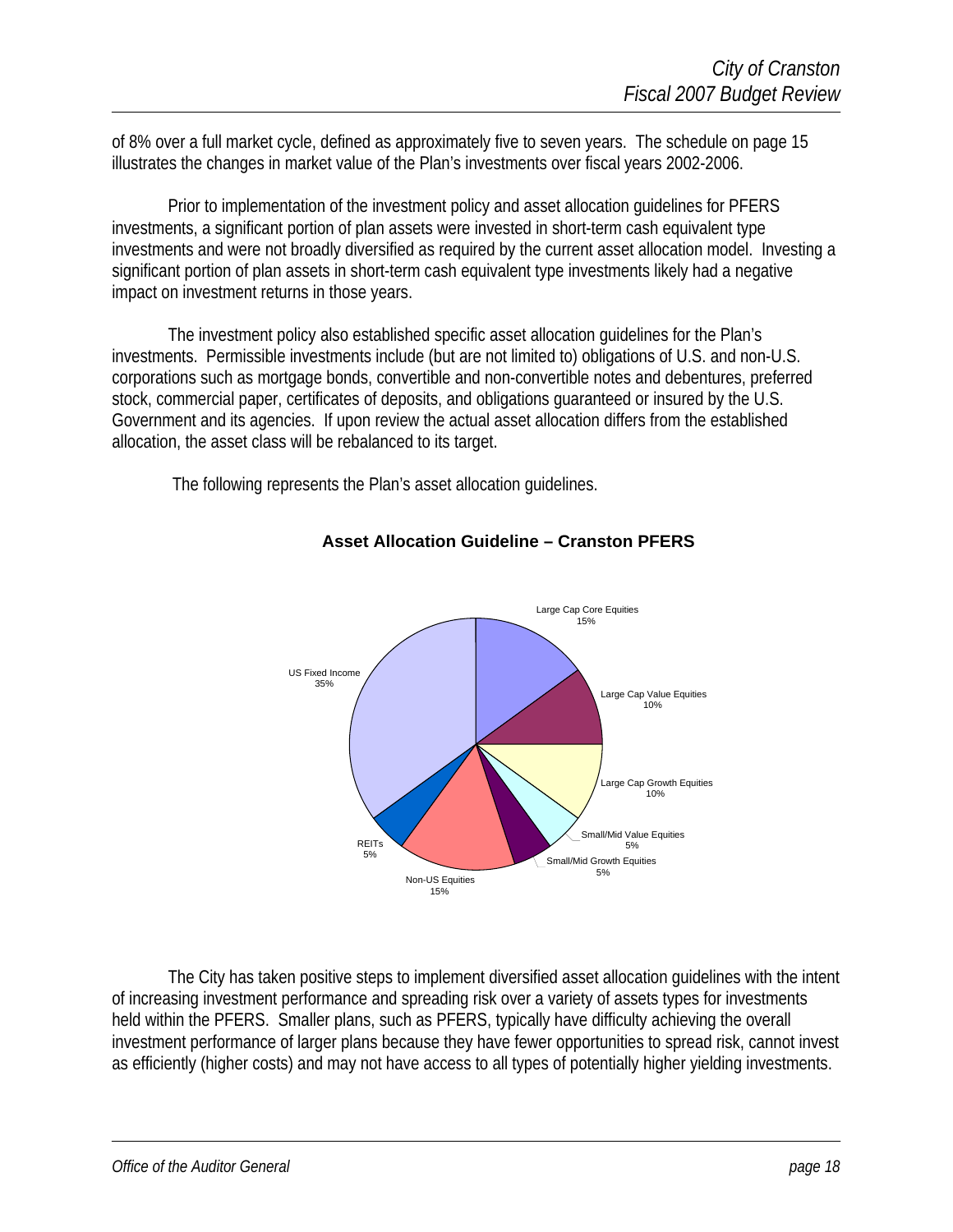of 8% over a full market cycle, defined as approximately five to seven years. The schedule on page 15 illustrates the changes in market value of the Plan's investments over fiscal years 2002-2006.

 Prior to implementation of the investment policy and asset allocation guidelines for PFERS investments, a significant portion of plan assets were invested in short-term cash equivalent type investments and were not broadly diversified as required by the current asset allocation model. Investing a significant portion of plan assets in short-term cash equivalent type investments likely had a negative impact on investment returns in those years.

 The investment policy also established specific asset allocation guidelines for the Plan's investments. Permissible investments include (but are not limited to) obligations of U.S. and non-U.S. corporations such as mortgage bonds, convertible and non-convertible notes and debentures, preferred stock, commercial paper, certificates of deposits, and obligations guaranteed or insured by the U.S. Government and its agencies. If upon review the actual asset allocation differs from the established allocation, the asset class will be rebalanced to its target.

The following represents the Plan's asset allocation guidelines.



#### **Asset Allocation Guideline – Cranston PFERS**

The City has taken positive steps to implement diversified asset allocation guidelines with the intent of increasing investment performance and spreading risk over a variety of assets types for investments held within the PFERS. Smaller plans, such as PFERS, typically have difficulty achieving the overall investment performance of larger plans because they have fewer opportunities to spread risk, cannot invest as efficiently (higher costs) and may not have access to all types of potentially higher yielding investments.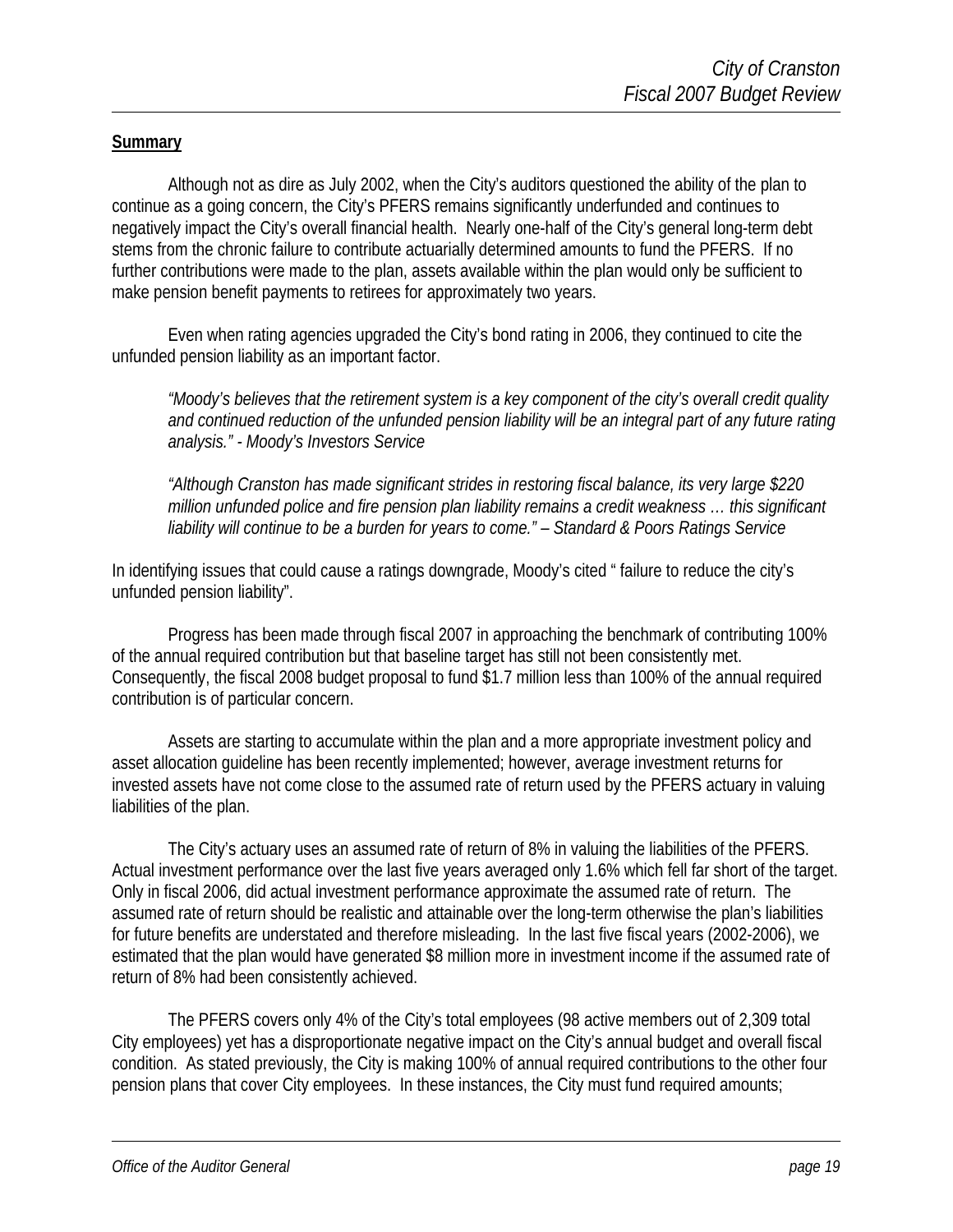#### **Summary**

 Although not as dire as July 2002, when the City's auditors questioned the ability of the plan to continue as a going concern, the City's PFERS remains significantly underfunded and continues to negatively impact the City's overall financial health. Nearly one-half of the City's general long-term debt stems from the chronic failure to contribute actuarially determined amounts to fund the PFERS. If no further contributions were made to the plan, assets available within the plan would only be sufficient to make pension benefit payments to retirees for approximately two years.

 Even when rating agencies upgraded the City's bond rating in 2006, they continued to cite the unfunded pension liability as an important factor.

*"Moody's believes that the retirement system is a key component of the city's overall credit quality and continued reduction of the unfunded pension liability will be an integral part of any future rating analysis." - Moody's Investors Service* 

*"Although Cranston has made significant strides in restoring fiscal balance, its very large \$220 million unfunded police and fire pension plan liability remains a credit weakness … this significant liability will continue to be a burden for years to come." – Standard & Poors Ratings Service* 

In identifying issues that could cause a ratings downgrade, Moody's cited " failure to reduce the city's unfunded pension liability".

 Progress has been made through fiscal 2007 in approaching the benchmark of contributing 100% of the annual required contribution but that baseline target has still not been consistently met. Consequently, the fiscal 2008 budget proposal to fund \$1.7 million less than 100% of the annual required contribution is of particular concern.

 Assets are starting to accumulate within the plan and a more appropriate investment policy and asset allocation guideline has been recently implemented; however, average investment returns for invested assets have not come close to the assumed rate of return used by the PFERS actuary in valuing liabilities of the plan.

 The City's actuary uses an assumed rate of return of 8% in valuing the liabilities of the PFERS. Actual investment performance over the last five years averaged only 1.6% which fell far short of the target. Only in fiscal 2006, did actual investment performance approximate the assumed rate of return. The assumed rate of return should be realistic and attainable over the long-term otherwise the plan's liabilities for future benefits are understated and therefore misleading. In the last five fiscal years (2002-2006), we estimated that the plan would have generated \$8 million more in investment income if the assumed rate of return of 8% had been consistently achieved.

 The PFERS covers only 4% of the City's total employees (98 active members out of 2,309 total City employees) yet has a disproportionate negative impact on the City's annual budget and overall fiscal condition. As stated previously, the City is making 100% of annual required contributions to the other four pension plans that cover City employees. In these instances, the City must fund required amounts;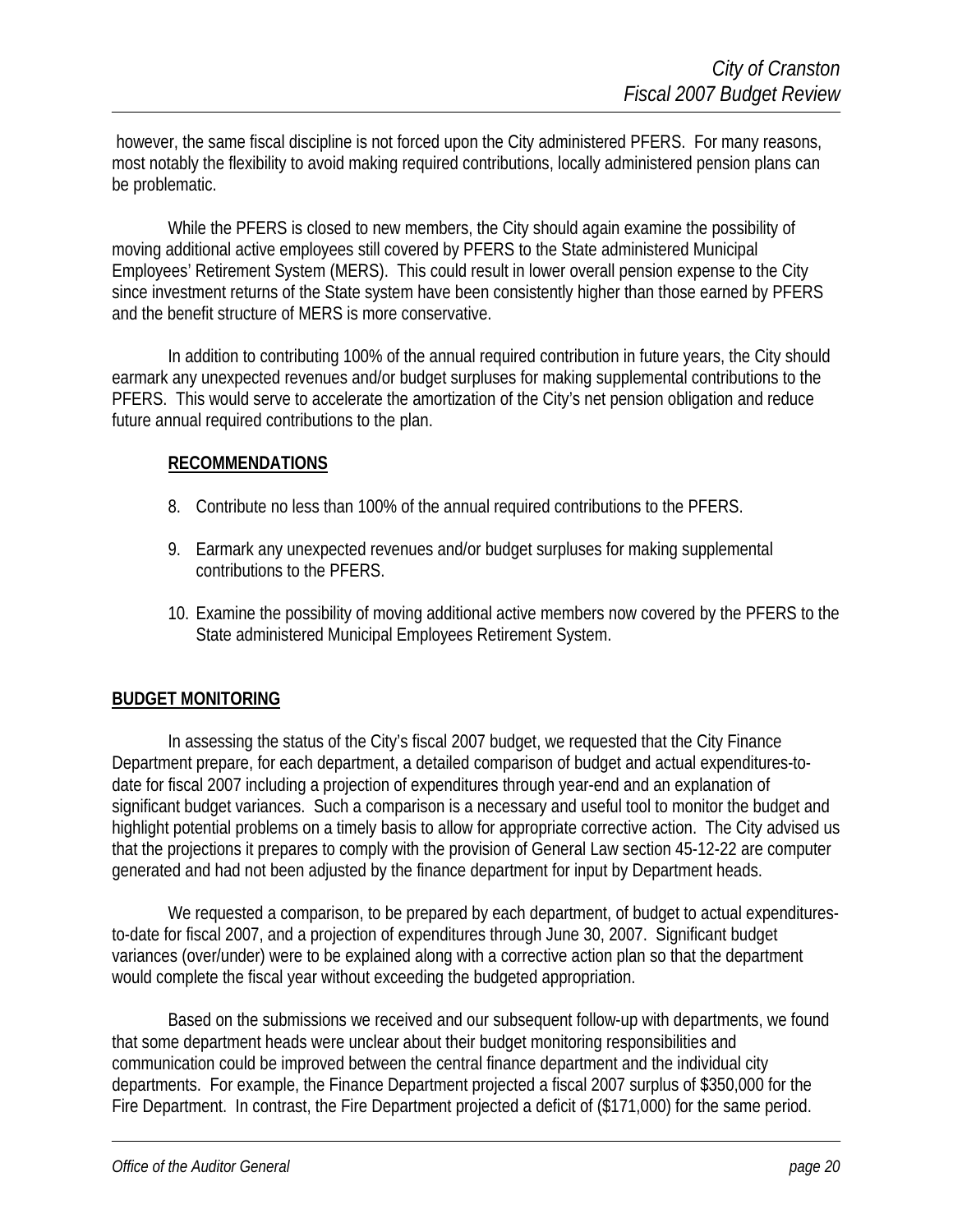however, the same fiscal discipline is not forced upon the City administered PFERS. For many reasons, most notably the flexibility to avoid making required contributions, locally administered pension plans can be problematic.

 While the PFERS is closed to new members, the City should again examine the possibility of moving additional active employees still covered by PFERS to the State administered Municipal Employees' Retirement System (MERS). This could result in lower overall pension expense to the City since investment returns of the State system have been consistently higher than those earned by PFERS and the benefit structure of MERS is more conservative.

 In addition to contributing 100% of the annual required contribution in future years, the City should earmark any unexpected revenues and/or budget surpluses for making supplemental contributions to the PFERS. This would serve to accelerate the amortization of the City's net pension obligation and reduce future annual required contributions to the plan.

#### **RECOMMENDATIONS**

- 8. Contribute no less than 100% of the annual required contributions to the PFERS.
- 9. Earmark any unexpected revenues and/or budget surpluses for making supplemental contributions to the PFERS.
- 10. Examine the possibility of moving additional active members now covered by the PFERS to the State administered Municipal Employees Retirement System.

#### **BUDGET MONITORING**

In assessing the status of the City's fiscal 2007 budget, we requested that the City Finance Department prepare, for each department, a detailed comparison of budget and actual expenditures-todate for fiscal 2007 including a projection of expenditures through year-end and an explanation of significant budget variances. Such a comparison is a necessary and useful tool to monitor the budget and highlight potential problems on a timely basis to allow for appropriate corrective action. The City advised us that the projections it prepares to comply with the provision of General Law section 45-12-22 are computer generated and had not been adjusted by the finance department for input by Department heads.

We requested a comparison, to be prepared by each department, of budget to actual expendituresto-date for fiscal 2007, and a projection of expenditures through June 30, 2007. Significant budget variances (over/under) were to be explained along with a corrective action plan so that the department would complete the fiscal year without exceeding the budgeted appropriation.

Based on the submissions we received and our subsequent follow-up with departments, we found that some department heads were unclear about their budget monitoring responsibilities and communication could be improved between the central finance department and the individual city departments. For example, the Finance Department projected a fiscal 2007 surplus of \$350,000 for the Fire Department. In contrast, the Fire Department projected a deficit of (\$171,000) for the same period.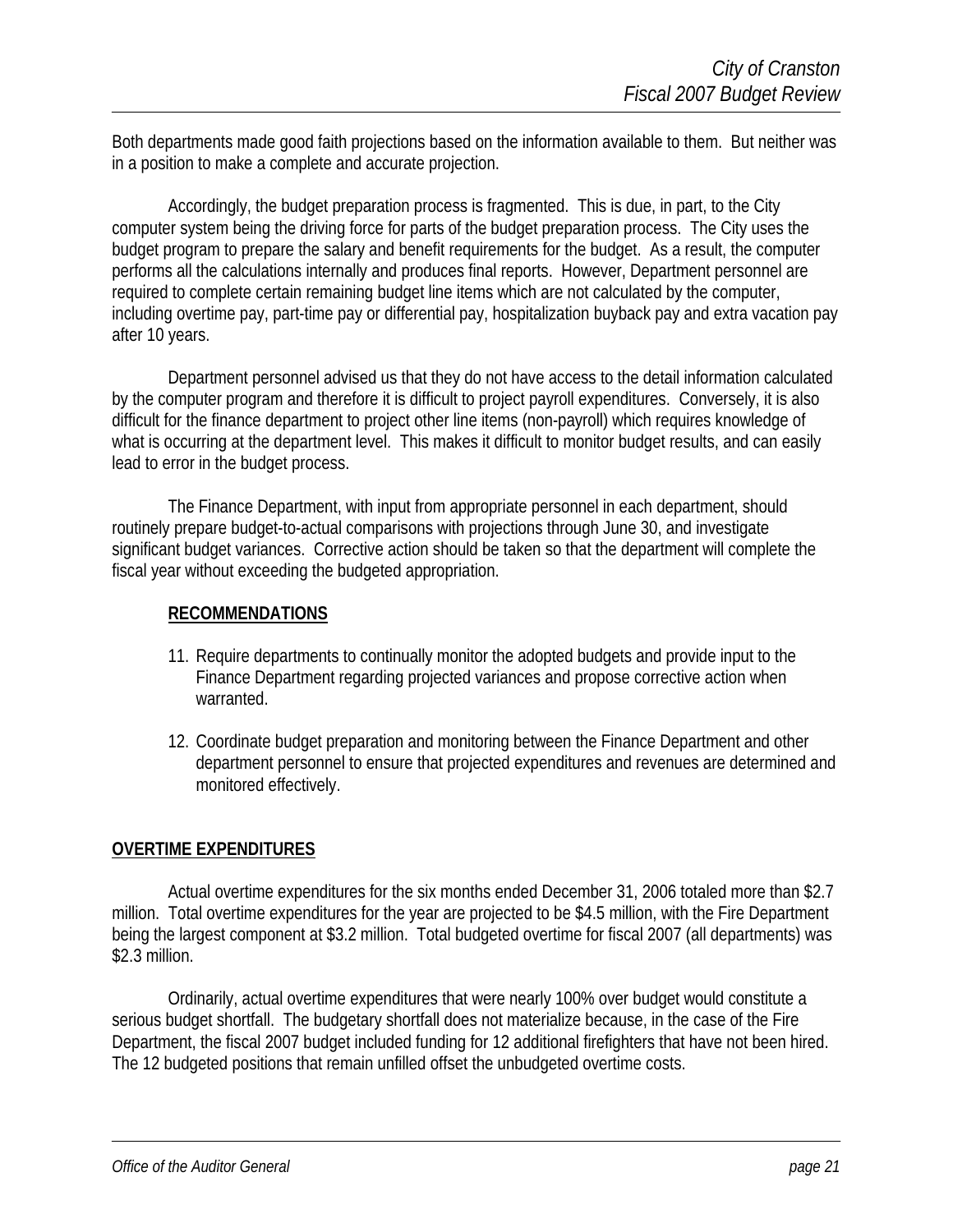Both departments made good faith projections based on the information available to them. But neither was in a position to make a complete and accurate projection.

Accordingly, the budget preparation process is fragmented. This is due, in part, to the City computer system being the driving force for parts of the budget preparation process. The City uses the budget program to prepare the salary and benefit requirements for the budget. As a result, the computer performs all the calculations internally and produces final reports. However, Department personnel are required to complete certain remaining budget line items which are not calculated by the computer, including overtime pay, part-time pay or differential pay, hospitalization buyback pay and extra vacation pay after 10 years.

Department personnel advised us that they do not have access to the detail information calculated by the computer program and therefore it is difficult to project payroll expenditures. Conversely, it is also difficult for the finance department to project other line items (non-payroll) which requires knowledge of what is occurring at the department level. This makes it difficult to monitor budget results, and can easily lead to error in the budget process.

The Finance Department, with input from appropriate personnel in each department, should routinely prepare budget-to-actual comparisons with projections through June 30, and investigate significant budget variances. Corrective action should be taken so that the department will complete the fiscal year without exceeding the budgeted appropriation.

#### **RECOMMENDATIONS**

- 11. Require departments to continually monitor the adopted budgets and provide input to the Finance Department regarding projected variances and propose corrective action when warranted.
- 12. Coordinate budget preparation and monitoring between the Finance Department and other department personnel to ensure that projected expenditures and revenues are determined and monitored effectively.

#### **OVERTIME EXPENDITURES**

Actual overtime expenditures for the six months ended December 31, 2006 totaled more than \$2.7 million. Total overtime expenditures for the year are projected to be \$4.5 million, with the Fire Department being the largest component at \$3.2 million. Total budgeted overtime for fiscal 2007 (all departments) was \$2.3 million.

Ordinarily, actual overtime expenditures that were nearly 100% over budget would constitute a serious budget shortfall. The budgetary shortfall does not materialize because, in the case of the Fire Department, the fiscal 2007 budget included funding for 12 additional firefighters that have not been hired. The 12 budgeted positions that remain unfilled offset the unbudgeted overtime costs.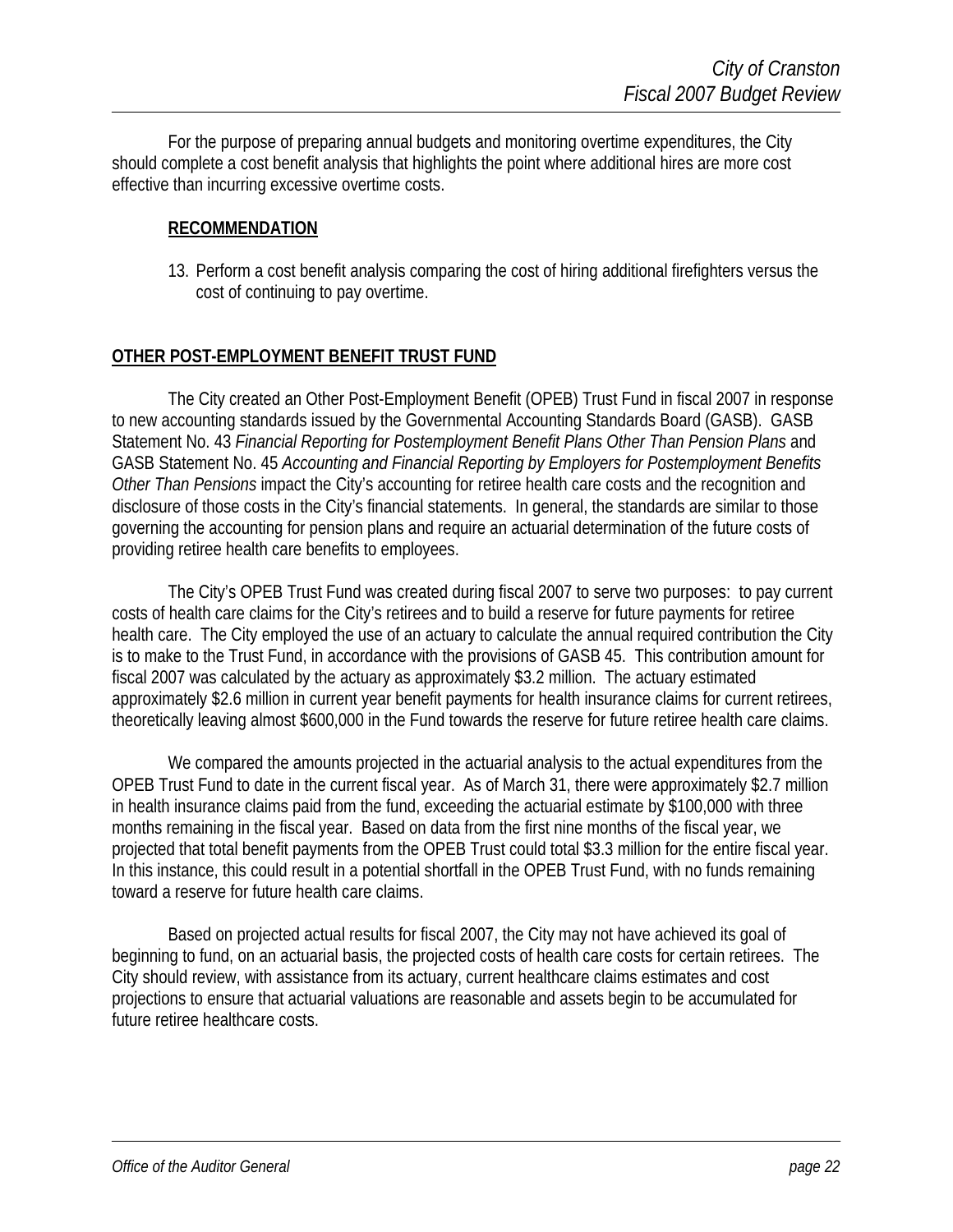For the purpose of preparing annual budgets and monitoring overtime expenditures, the City should complete a cost benefit analysis that highlights the point where additional hires are more cost effective than incurring excessive overtime costs.

#### **RECOMMENDATION**

13. Perform a cost benefit analysis comparing the cost of hiring additional firefighters versus the cost of continuing to pay overtime.

#### **OTHER POST-EMPLOYMENT BENEFIT TRUST FUND**

 The City created an Other Post-Employment Benefit (OPEB) Trust Fund in fiscal 2007 in response to new accounting standards issued by the Governmental Accounting Standards Board (GASB). GASB Statement No. 43 *Financial Reporting for Postemployment Benefit Plans Other Than Pension Plans* and GASB Statement No. 45 *Accounting and Financial Reporting by Employers for Postemployment Benefits Other Than Pensions* impact the City's accounting for retiree health care costs and the recognition and disclosure of those costs in the City's financial statements. In general, the standards are similar to those governing the accounting for pension plans and require an actuarial determination of the future costs of providing retiree health care benefits to employees.

The City's OPEB Trust Fund was created during fiscal 2007 to serve two purposes: to pay current costs of health care claims for the City's retirees and to build a reserve for future payments for retiree health care. The City employed the use of an actuary to calculate the annual required contribution the City is to make to the Trust Fund, in accordance with the provisions of GASB 45. This contribution amount for fiscal 2007 was calculated by the actuary as approximately \$3.2 million. The actuary estimated approximately \$2.6 million in current year benefit payments for health insurance claims for current retirees, theoretically leaving almost \$600,000 in the Fund towards the reserve for future retiree health care claims.

We compared the amounts projected in the actuarial analysis to the actual expenditures from the OPEB Trust Fund to date in the current fiscal year. As of March 31, there were approximately \$2.7 million in health insurance claims paid from the fund, exceeding the actuarial estimate by \$100,000 with three months remaining in the fiscal year. Based on data from the first nine months of the fiscal year, we projected that total benefit payments from the OPEB Trust could total \$3.3 million for the entire fiscal year. In this instance, this could result in a potential shortfall in the OPEB Trust Fund, with no funds remaining toward a reserve for future health care claims.

Based on projected actual results for fiscal 2007, the City may not have achieved its goal of beginning to fund, on an actuarial basis, the projected costs of health care costs for certain retirees. The City should review, with assistance from its actuary, current healthcare claims estimates and cost projections to ensure that actuarial valuations are reasonable and assets begin to be accumulated for future retiree healthcare costs.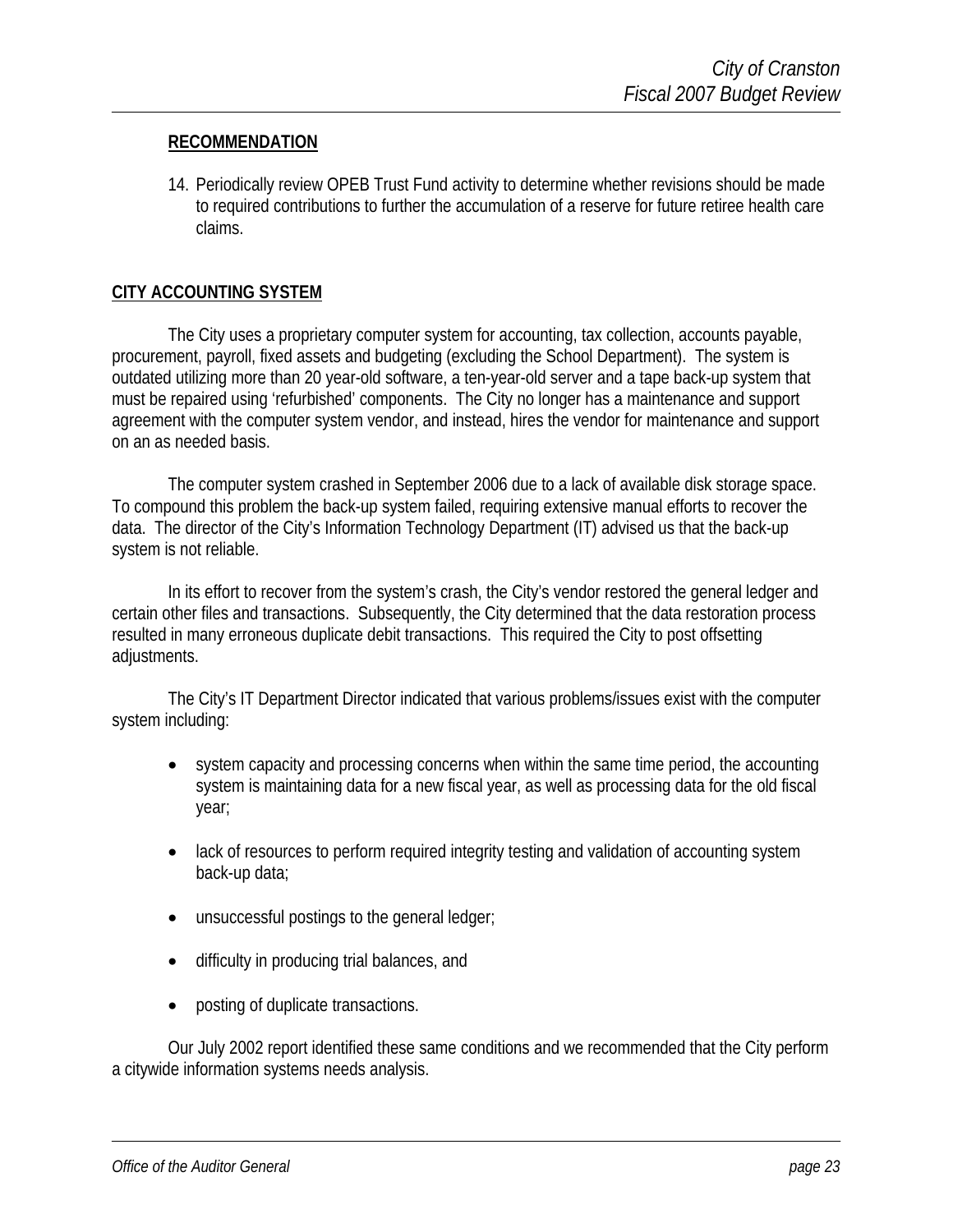#### **RECOMMENDATION**

14. Periodically review OPEB Trust Fund activity to determine whether revisions should be made to required contributions to further the accumulation of a reserve for future retiree health care claims.

#### **CITY ACCOUNTING SYSTEM**

The City uses a proprietary computer system for accounting, tax collection, accounts payable, procurement, payroll, fixed assets and budgeting (excluding the School Department). The system is outdated utilizing more than 20 year-old software, a ten-year-old server and a tape back-up system that must be repaired using 'refurbished' components. The City no longer has a maintenance and support agreement with the computer system vendor, and instead, hires the vendor for maintenance and support on an as needed basis.

The computer system crashed in September 2006 due to a lack of available disk storage space. To compound this problem the back-up system failed, requiring extensive manual efforts to recover the data. The director of the City's Information Technology Department (IT) advised us that the back-up system is not reliable.

In its effort to recover from the system's crash, the City's vendor restored the general ledger and certain other files and transactions. Subsequently, the City determined that the data restoration process resulted in many erroneous duplicate debit transactions. This required the City to post offsetting adjustments.

The City's IT Department Director indicated that various problems/issues exist with the computer system including:

- system capacity and processing concerns when within the same time period, the accounting system is maintaining data for a new fiscal year, as well as processing data for the old fiscal year;
- lack of resources to perform required integrity testing and validation of accounting system back-up data;
- unsuccessful postings to the general ledger;
- difficulty in producing trial balances, and
- posting of duplicate transactions.

Our July 2002 report identified these same conditions and we recommended that the City perform a citywide information systems needs analysis.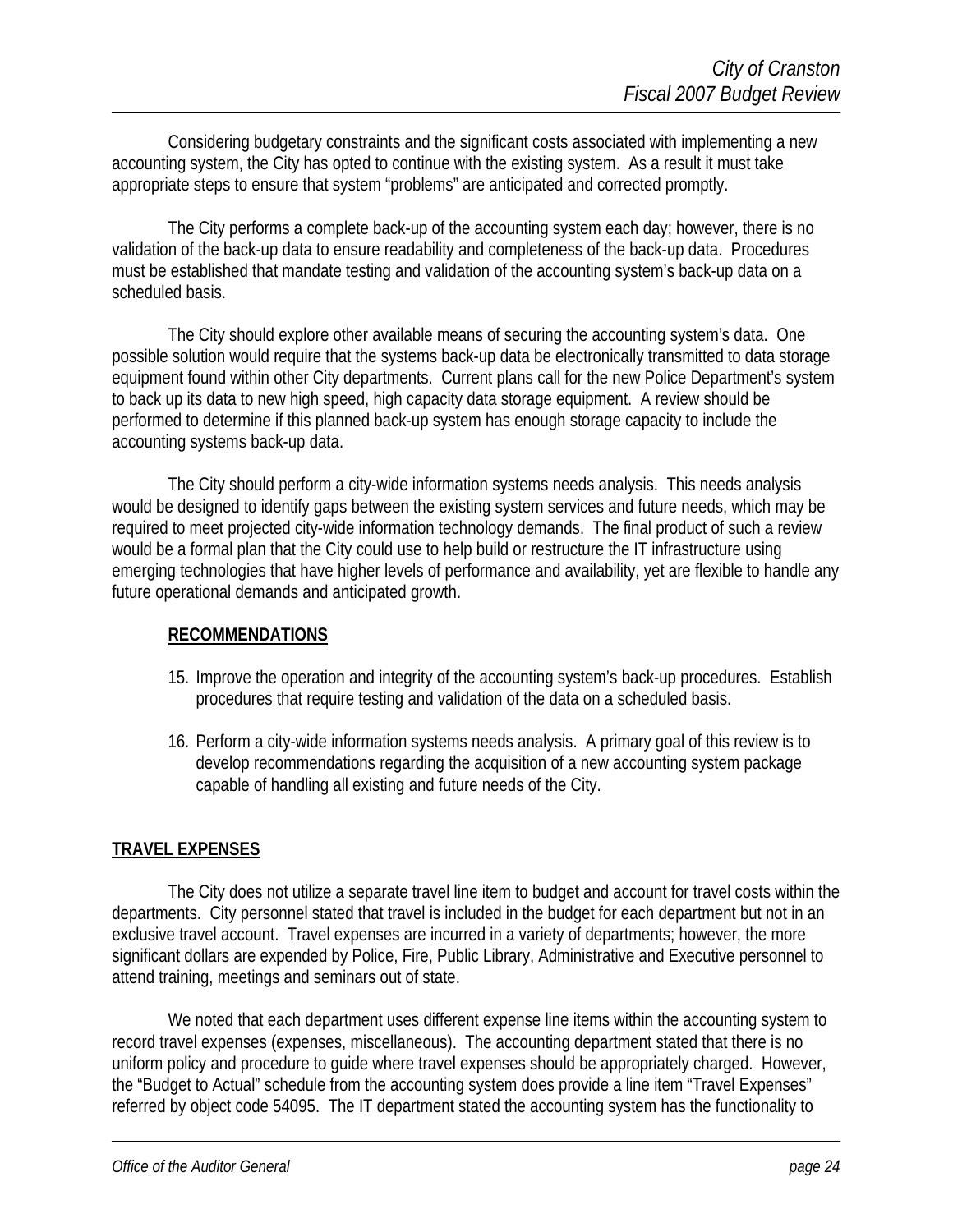Considering budgetary constraints and the significant costs associated with implementing a new accounting system, the City has opted to continue with the existing system. As a result it must take appropriate steps to ensure that system "problems" are anticipated and corrected promptly.

The City performs a complete back-up of the accounting system each day; however, there is no validation of the back-up data to ensure readability and completeness of the back-up data. Procedures must be established that mandate testing and validation of the accounting system's back-up data on a scheduled basis.

The City should explore other available means of securing the accounting system's data. One possible solution would require that the systems back-up data be electronically transmitted to data storage equipment found within other City departments. Current plans call for the new Police Department's system to back up its data to new high speed, high capacity data storage equipment. A review should be performed to determine if this planned back-up system has enough storage capacity to include the accounting systems back-up data.

The City should perform a city-wide information systems needs analysis. This needs analysis would be designed to identify gaps between the existing system services and future needs, which may be required to meet projected city-wide information technology demands. The final product of such a review would be a formal plan that the City could use to help build or restructure the IT infrastructure using emerging technologies that have higher levels of performance and availability, yet are flexible to handle any future operational demands and anticipated growth.

#### **RECOMMENDATIONS**

- 15. Improve the operation and integrity of the accounting system's back-up procedures. Establish procedures that require testing and validation of the data on a scheduled basis.
- 16. Perform a city-wide information systems needs analysis. A primary goal of this review is to develop recommendations regarding the acquisition of a new accounting system package capable of handling all existing and future needs of the City.

#### **TRAVEL EXPENSES**

The City does not utilize a separate travel line item to budget and account for travel costs within the departments. City personnel stated that travel is included in the budget for each department but not in an exclusive travel account. Travel expenses are incurred in a variety of departments; however, the more significant dollars are expended by Police, Fire, Public Library, Administrative and Executive personnel to attend training, meetings and seminars out of state.

We noted that each department uses different expense line items within the accounting system to record travel expenses (expenses, miscellaneous). The accounting department stated that there is no uniform policy and procedure to guide where travel expenses should be appropriately charged. However, the "Budget to Actual" schedule from the accounting system does provide a line item "Travel Expenses" referred by object code 54095. The IT department stated the accounting system has the functionality to